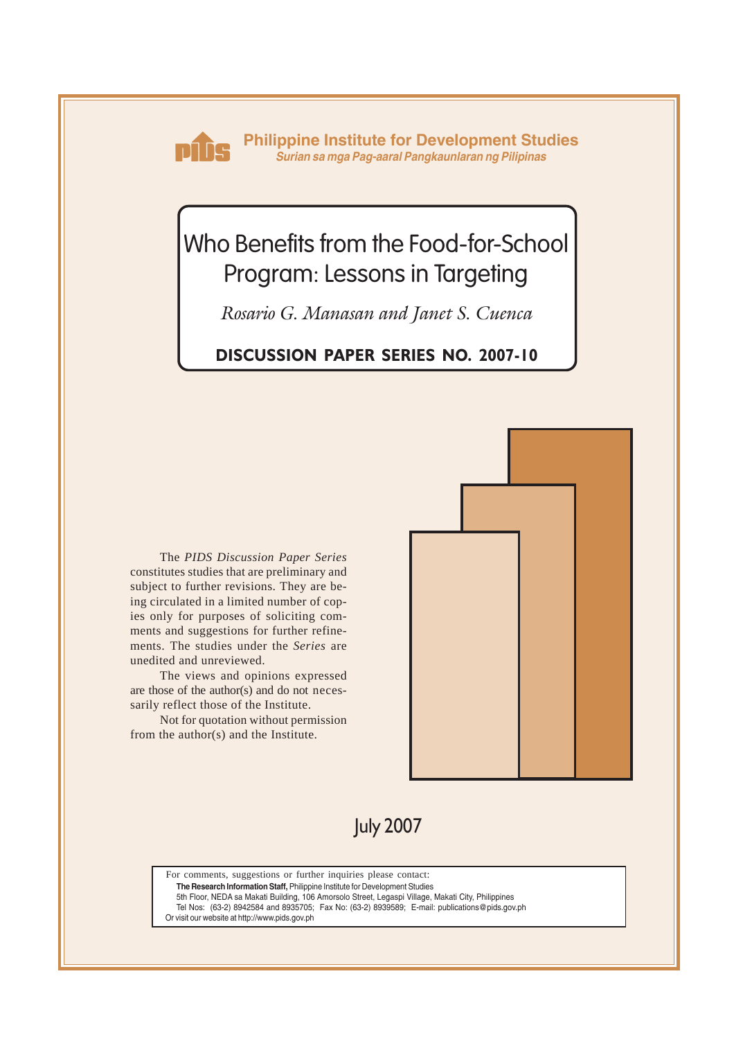

**Philippine Institute for Development Studies** *Surian sa mga Pag-aaral Pangkaunlaran ng Pilipinas*

# Who Benefits from the Food-for-School Program: Lessons in Targeting

*Rosario G. Manasan and Janet S. Cuenca*

## **DISCUSSION PAPER SERIES NO. 2007-10**

The *PIDS Discussion Paper Series* constitutes studies that are preliminary and subject to further revisions. They are being circulated in a limited number of copies only for purposes of soliciting comments and suggestions for further refinements. The studies under the *Series* are unedited and unreviewed.

The views and opinions expressed are those of the author(s) and do not necessarily reflect those of the Institute.

Not for quotation without permission from the author(s) and the Institute.



## July 2007

For comments, suggestions or further inquiries please contact: **The Research Information Staff,** Philippine Institute for Development Studies

5th Floor, NEDA sa Makati Building, 106 Amorsolo Street, Legaspi Village, Makati City, Philippines Tel Nos: (63-2) 8942584 and 8935705; Fax No: (63-2) 8939589; E-mail: publications@pids.gov.ph Or visit our website at http://www.pids.gov.ph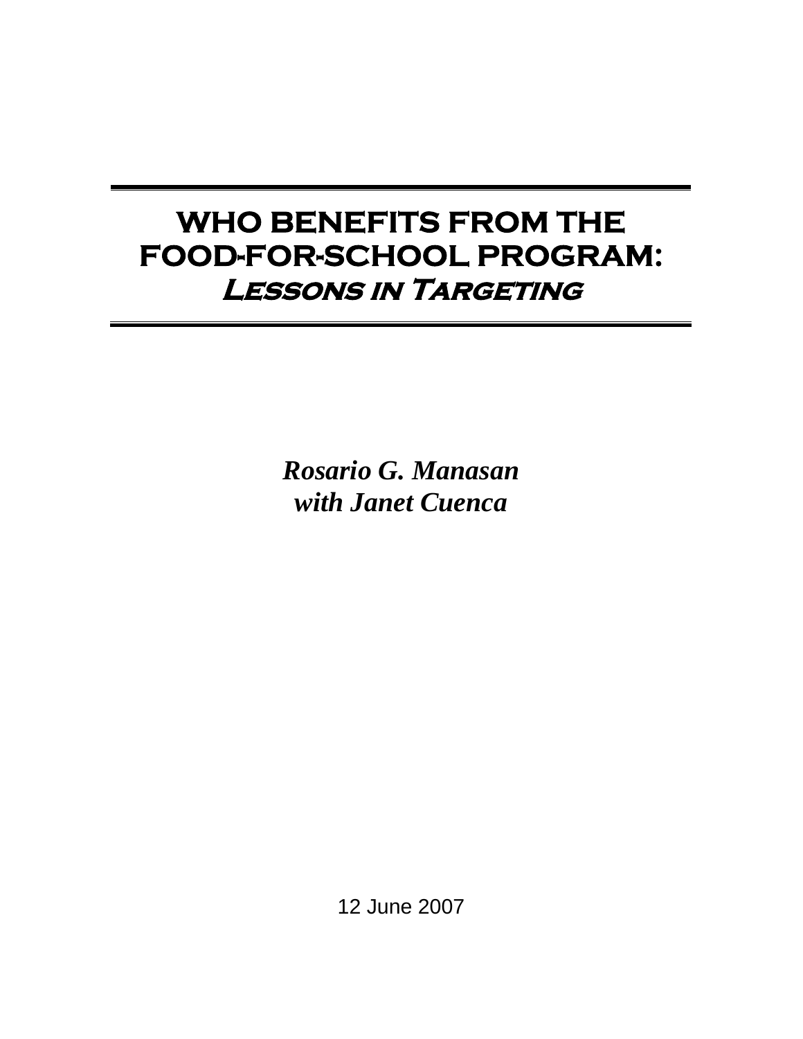# **WHO BENEFITS FROM THE FOOD-FOR-SCHOOL PROGRAM: Lessons in Targeting**

*Rosario G. Manasan with Janet Cuenca*

12 June 2007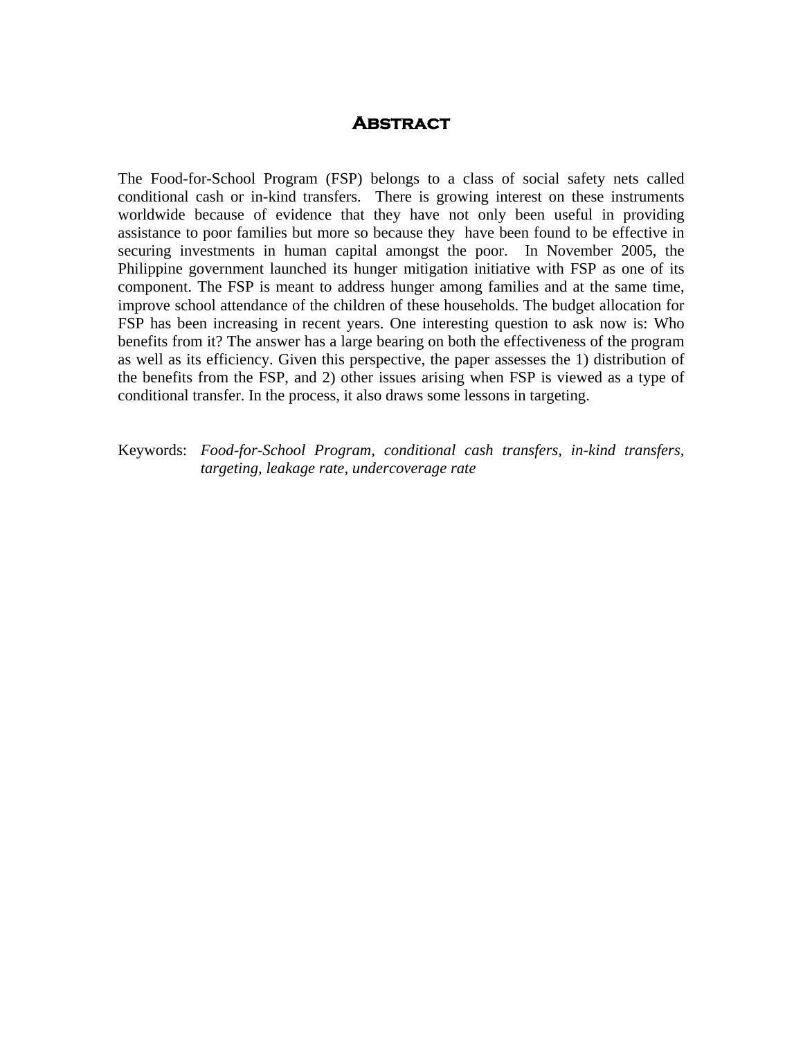## **Abstract**

The Food-for-School Program (FSP) belongs to a class of social safety nets called conditional cash or in-kind transfers. There is growing interest on these instruments worldwide because of evidence that they have not only been useful in providing assistance to poor families but more so because they have been found to be effective in securing investments in human capital amongst the poor. In November 2005, the Philippine government launched its hunger mitigation initiative with FSP as one of its component. The FSP is meant to address hunger among families and at the same time, improve school attendance of the children of these households. The budget allocation for FSP has been increasing in recent years. One interesting question to ask now is: Who benefits from it? The answer has a large bearing on both the effectiveness of the program as well as its efficiency. Given this perspective, the paper assesses the 1) distribution of the benefits from the FSP, and 2) other issues arising when FSP is viewed as a type of conditional transfer. In the process, it also draws some lessons in targeting.

Keywords: *Food-for-School Program, conditional cash transfers, in-kind transfers, targeting, leakage rate, undercoverage rate*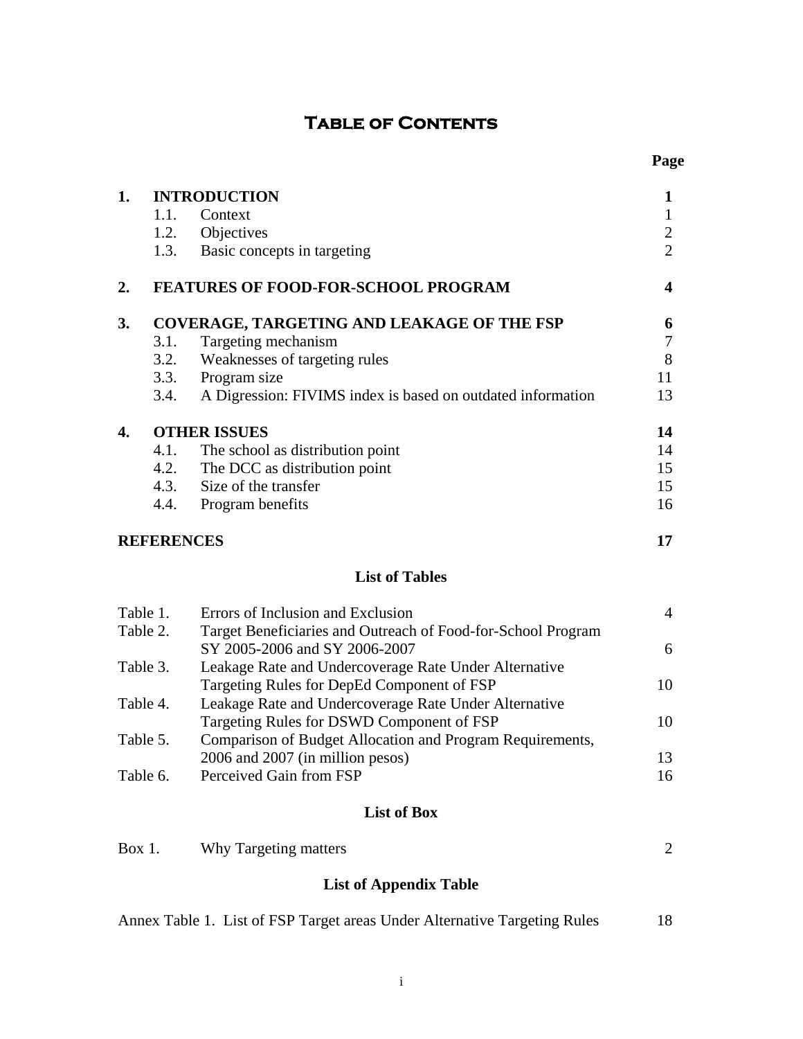## **Table of Contents**

| 1.       |                   | <b>INTRODUCTION</b>                                          | 1                       |
|----------|-------------------|--------------------------------------------------------------|-------------------------|
|          |                   | 1.1. Context                                                 | $\mathbf{1}$            |
|          | 1.2.              | Objectives                                                   | $\overline{2}$          |
|          | 1.3.              | Basic concepts in targeting                                  | $\overline{2}$          |
| 2.       |                   | <b>FEATURES OF FOOD-FOR-SCHOOL PROGRAM</b>                   | $\overline{\mathbf{4}}$ |
| 3.       |                   | COVERAGE, TARGETING AND LEAKAGE OF THE FSP                   | 6                       |
|          | 3.1.              | Targeting mechanism                                          | $\boldsymbol{7}$        |
|          | 3.2.              | Weaknesses of targeting rules                                | 8                       |
|          | 3.3.              | Program size                                                 | 11                      |
|          | 3.4.              | A Digression: FIVIMS index is based on outdated information  | 13                      |
| 4.       |                   | <b>OTHER ISSUES</b>                                          | 14                      |
|          | 4.1.              | The school as distribution point                             | 14                      |
|          | 4.2.              | The DCC as distribution point                                | 15                      |
|          | 4.3.              | Size of the transfer                                         | 15                      |
|          | 4.4.              | Program benefits                                             | 16                      |
|          | <b>REFERENCES</b> |                                                              | 17                      |
|          |                   | <b>List of Tables</b>                                        |                         |
| Table 1. |                   | Errors of Inclusion and Exclusion                            | $\overline{4}$          |
| Table 2. |                   | Target Beneficiaries and Outreach of Food-for-School Program |                         |
|          |                   | SY 2005-2006 and SY 2006-2007                                | 6                       |
| Table 3. |                   | Leakage Rate and Undercoverage Rate Under Alternative        |                         |
|          |                   | Targeting Rules for DepEd Component of FSP                   | 10                      |
| Table 4. |                   | Leakage Rate and Undercoverage Rate Under Alternative        |                         |
|          |                   | Targeting Rules for DSWD Component of FSP                    | 10                      |
| Table 5. |                   | Comparison of Budget Allocation and Program Requirements,    |                         |
|          |                   | 2006 and 2007 (in million pesos)                             | 13                      |
| Table 6. |                   | Perceived Gain from FSP                                      | 16                      |
|          |                   | <b>List of Box</b>                                           |                         |
| Box 1.   |                   | Why Targeting matters                                        | 2                       |
|          |                   | <b>List of Appendix Table</b>                                |                         |

Annex Table 1. List of FSP Target areas Under Alternative Targeting Rules 18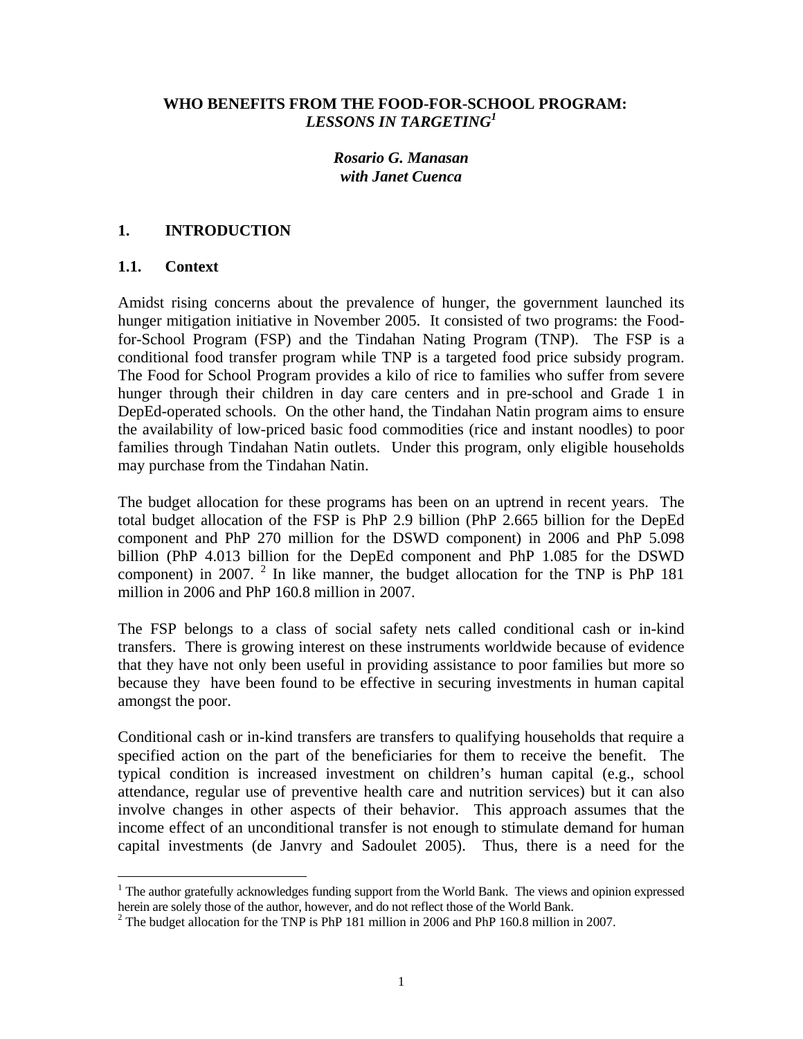### **WHO BENEFITS FROM THE FOOD-FOR-SCHOOL PROGRAM:**  *LESSONS IN TARGETING<sup>1</sup>*

## *Rosario G. Manasan with Janet Cuenca*

## **1. INTRODUCTION**

## **1.1. Context**

 $\overline{a}$ 

Amidst rising concerns about the prevalence of hunger, the government launched its hunger mitigation initiative in November 2005. It consisted of two programs: the Foodfor-School Program (FSP) and the Tindahan Nating Program (TNP). The FSP is a conditional food transfer program while TNP is a targeted food price subsidy program. The Food for School Program provides a kilo of rice to families who suffer from severe hunger through their children in day care centers and in pre-school and Grade 1 in DepEd-operated schools. On the other hand, the Tindahan Natin program aims to ensure the availability of low-priced basic food commodities (rice and instant noodles) to poor families through Tindahan Natin outlets. Under this program, only eligible households may purchase from the Tindahan Natin.

The budget allocation for these programs has been on an uptrend in recent years. The total budget allocation of the FSP is PhP 2.9 billion (PhP 2.665 billion for the DepEd component and PhP 270 million for the DSWD component) in 2006 and PhP 5.098 billion (PhP 4.013 billion for the DepEd component and PhP 1.085 for the DSWD component) in 2007. <sup>2</sup> In like manner, the budget allocation for the TNP is PhP 181 million in 2006 and PhP 160.8 million in 2007.

The FSP belongs to a class of social safety nets called conditional cash or in-kind transfers. There is growing interest on these instruments worldwide because of evidence that they have not only been useful in providing assistance to poor families but more so because they have been found to be effective in securing investments in human capital amongst the poor.

Conditional cash or in-kind transfers are transfers to qualifying households that require a specified action on the part of the beneficiaries for them to receive the benefit. The typical condition is increased investment on children's human capital (e.g., school attendance, regular use of preventive health care and nutrition services) but it can also involve changes in other aspects of their behavior. This approach assumes that the income effect of an unconditional transfer is not enough to stimulate demand for human capital investments (de Janvry and Sadoulet 2005). Thus, there is a need for the

<sup>&</sup>lt;sup>1</sup> The author gratefully acknowledges funding support from the World Bank. The views and opinion expressed herein are solely those of the author, however, and do not reflect those of the World Bank.

<sup>&</sup>lt;sup>2</sup> The budget allocation for the TNP is PhP 181 million in 2006 and PhP 160.8 million in 2007.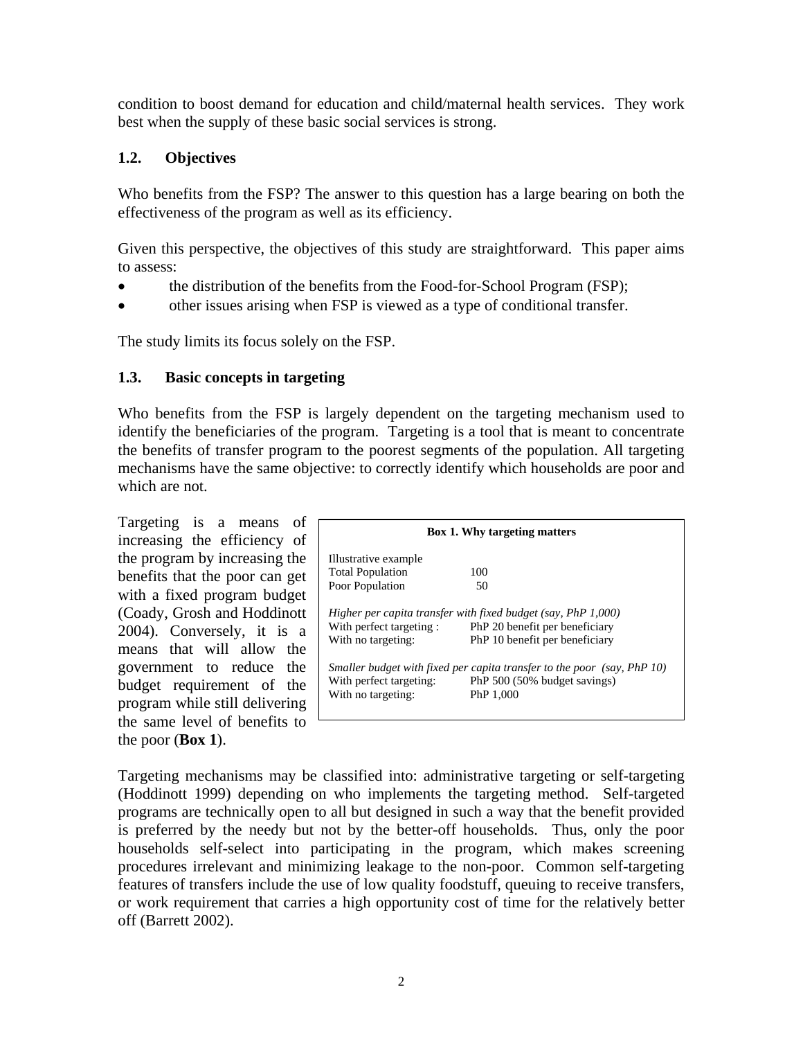condition to boost demand for education and child/maternal health services. They work best when the supply of these basic social services is strong.

## **1.2. Objectives**

Who benefits from the FSP? The answer to this question has a large bearing on both the effectiveness of the program as well as its efficiency.

Given this perspective, the objectives of this study are straightforward. This paper aims to assess:

- the distribution of the benefits from the Food-for-School Program (FSP);
- other issues arising when FSP is viewed as a type of conditional transfer.

The study limits its focus solely on the FSP.

## **1.3. Basic concepts in targeting**

Who benefits from the FSP is largely dependent on the targeting mechanism used to identify the beneficiaries of the program. Targeting is a tool that is meant to concentrate the benefits of transfer program to the poorest segments of the population. All targeting mechanisms have the same objective: to correctly identify which households are poor and which are not.

Targeting is a means of increasing the efficiency of the program by increasing the benefits that the poor can get with a fixed program budget (Coady, Grosh and Hoddinott 2004). Conversely, it is a means that will allow the government to reduce the budget requirement of the program while still delivering the same level of benefits to the poor (**Box 1**).

| <b>Box 1. Why targeting matters</b>                                                            |                                                                                                                                                                                                                                                           |  |  |  |  |  |  |  |
|------------------------------------------------------------------------------------------------|-----------------------------------------------------------------------------------------------------------------------------------------------------------------------------------------------------------------------------------------------------------|--|--|--|--|--|--|--|
| Illustrative example                                                                           |                                                                                                                                                                                                                                                           |  |  |  |  |  |  |  |
| <b>Total Population</b>                                                                        | 100                                                                                                                                                                                                                                                       |  |  |  |  |  |  |  |
| Poor Population                                                                                | 50                                                                                                                                                                                                                                                        |  |  |  |  |  |  |  |
| With perfect targeting:<br>With no targeting:<br>With perfect targeting:<br>With no targeting: | Higher per capita transfer with fixed budget (say, PhP 1,000)<br>PhP 20 benefit per beneficiary<br>PhP 10 benefit per beneficiary<br>Smaller budget with fixed per capita transfer to the poor (say, PhP 10)<br>PhP 500 (50% budget savings)<br>PhP 1.000 |  |  |  |  |  |  |  |

Targeting mechanisms may be classified into: administrative targeting or self-targeting (Hoddinott 1999) depending on who implements the targeting method. Self-targeted programs are technically open to all but designed in such a way that the benefit provided is preferred by the needy but not by the better-off households. Thus, only the poor households self-select into participating in the program, which makes screening procedures irrelevant and minimizing leakage to the non-poor. Common self-targeting features of transfers include the use of low quality foodstuff, queuing to receive transfers, or work requirement that carries a high opportunity cost of time for the relatively better off (Barrett 2002).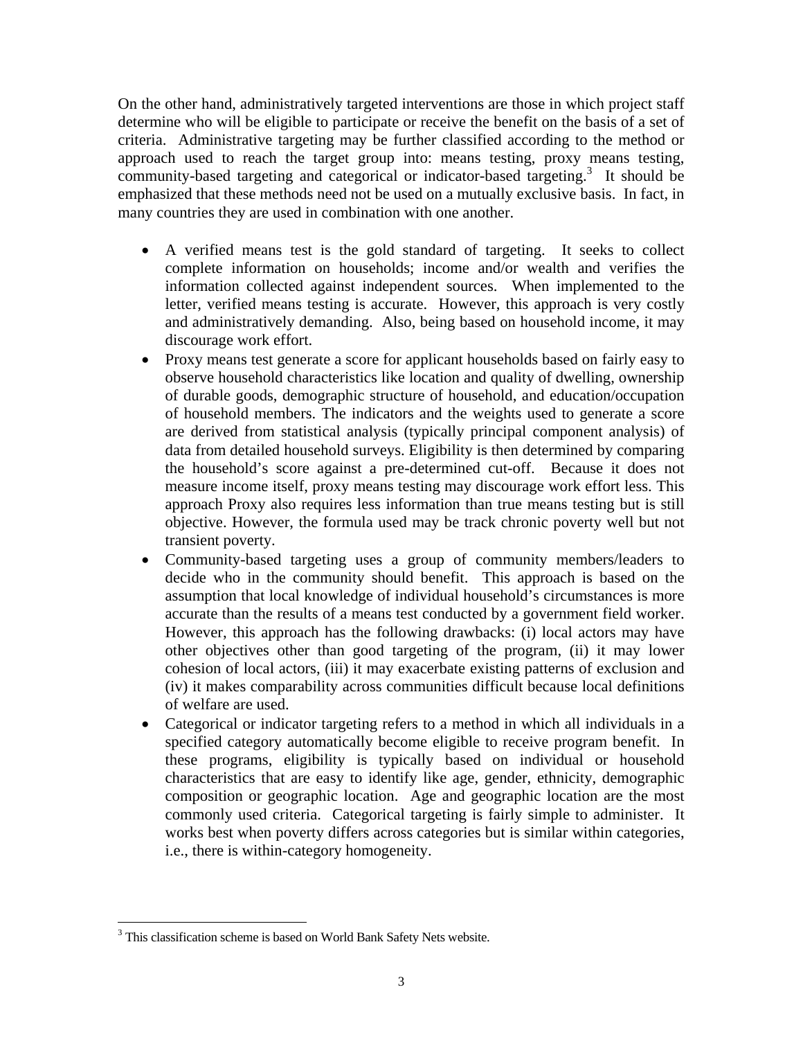On the other hand, administratively targeted interventions are those in which project staff determine who will be eligible to participate or receive the benefit on the basis of a set of criteria. Administrative targeting may be further classified according to the method or approach used to reach the target group into: means testing, proxy means testing, community-based targeting and categorical or indicator-based targeting.3 It should be emphasized that these methods need not be used on a mutually exclusive basis. In fact, in many countries they are used in combination with one another.

- A verified means test is the gold standard of targeting. It seeks to collect complete information on households; income and/or wealth and verifies the information collected against independent sources. When implemented to the letter, verified means testing is accurate. However, this approach is very costly and administratively demanding. Also, being based on household income, it may discourage work effort.
- Proxy means test generate a score for applicant households based on fairly easy to observe household characteristics like location and quality of dwelling, ownership of durable goods, demographic structure of household, and education/occupation of household members. The indicators and the weights used to generate a score are derived from statistical analysis (typically principal component analysis) of data from detailed household surveys. Eligibility is then determined by comparing the household's score against a pre-determined cut-off. Because it does not measure income itself, proxy means testing may discourage work effort less. This approach Proxy also requires less information than true means testing but is still objective. However, the formula used may be track chronic poverty well but not transient poverty.
- Community-based targeting uses a group of community members/leaders to decide who in the community should benefit. This approach is based on the assumption that local knowledge of individual household's circumstances is more accurate than the results of a means test conducted by a government field worker. However, this approach has the following drawbacks: (i) local actors may have other objectives other than good targeting of the program, (ii) it may lower cohesion of local actors, (iii) it may exacerbate existing patterns of exclusion and (iv) it makes comparability across communities difficult because local definitions of welfare are used.
- Categorical or indicator targeting refers to a method in which all individuals in a specified category automatically become eligible to receive program benefit. In these programs, eligibility is typically based on individual or household characteristics that are easy to identify like age, gender, ethnicity, demographic composition or geographic location. Age and geographic location are the most commonly used criteria. Categorical targeting is fairly simple to administer. It works best when poverty differs across categories but is similar within categories, i.e., there is within-category homogeneity.

<u>.</u>

<sup>&</sup>lt;sup>3</sup> This classification scheme is based on World Bank Safety Nets website.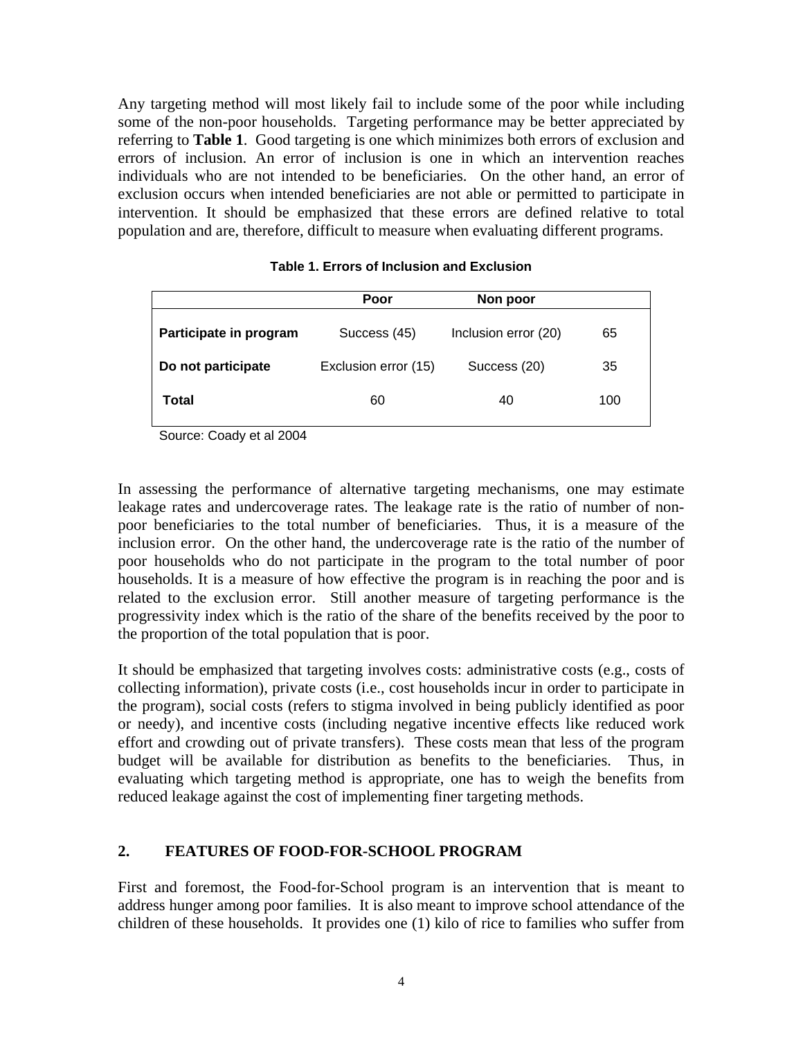Any targeting method will most likely fail to include some of the poor while including some of the non-poor households. Targeting performance may be better appreciated by referring to **Table 1**. Good targeting is one which minimizes both errors of exclusion and errors of inclusion. An error of inclusion is one in which an intervention reaches individuals who are not intended to be beneficiaries. On the other hand, an error of exclusion occurs when intended beneficiaries are not able or permitted to participate in intervention. It should be emphasized that these errors are defined relative to total population and are, therefore, difficult to measure when evaluating different programs.

|                        | Poor                 | Non poor             |     |
|------------------------|----------------------|----------------------|-----|
| Participate in program | Success (45)         | Inclusion error (20) | 65  |
| Do not participate     | Exclusion error (15) | Success (20)         | 35  |
| Total                  | 60                   | 40                   | 100 |

**Table 1. Errors of Inclusion and Exclusion** 

Source: Coady et al 2004

In assessing the performance of alternative targeting mechanisms, one may estimate leakage rates and undercoverage rates. The leakage rate is the ratio of number of nonpoor beneficiaries to the total number of beneficiaries. Thus, it is a measure of the inclusion error. On the other hand, the undercoverage rate is the ratio of the number of poor households who do not participate in the program to the total number of poor households. It is a measure of how effective the program is in reaching the poor and is related to the exclusion error. Still another measure of targeting performance is the progressivity index which is the ratio of the share of the benefits received by the poor to the proportion of the total population that is poor.

It should be emphasized that targeting involves costs: administrative costs (e.g., costs of collecting information), private costs (i.e., cost households incur in order to participate in the program), social costs (refers to stigma involved in being publicly identified as poor or needy), and incentive costs (including negative incentive effects like reduced work effort and crowding out of private transfers). These costs mean that less of the program budget will be available for distribution as benefits to the beneficiaries. Thus, in evaluating which targeting method is appropriate, one has to weigh the benefits from reduced leakage against the cost of implementing finer targeting methods.

## **2. FEATURES OF FOOD-FOR-SCHOOL PROGRAM**

First and foremost, the Food-for-School program is an intervention that is meant to address hunger among poor families. It is also meant to improve school attendance of the children of these households. It provides one (1) kilo of rice to families who suffer from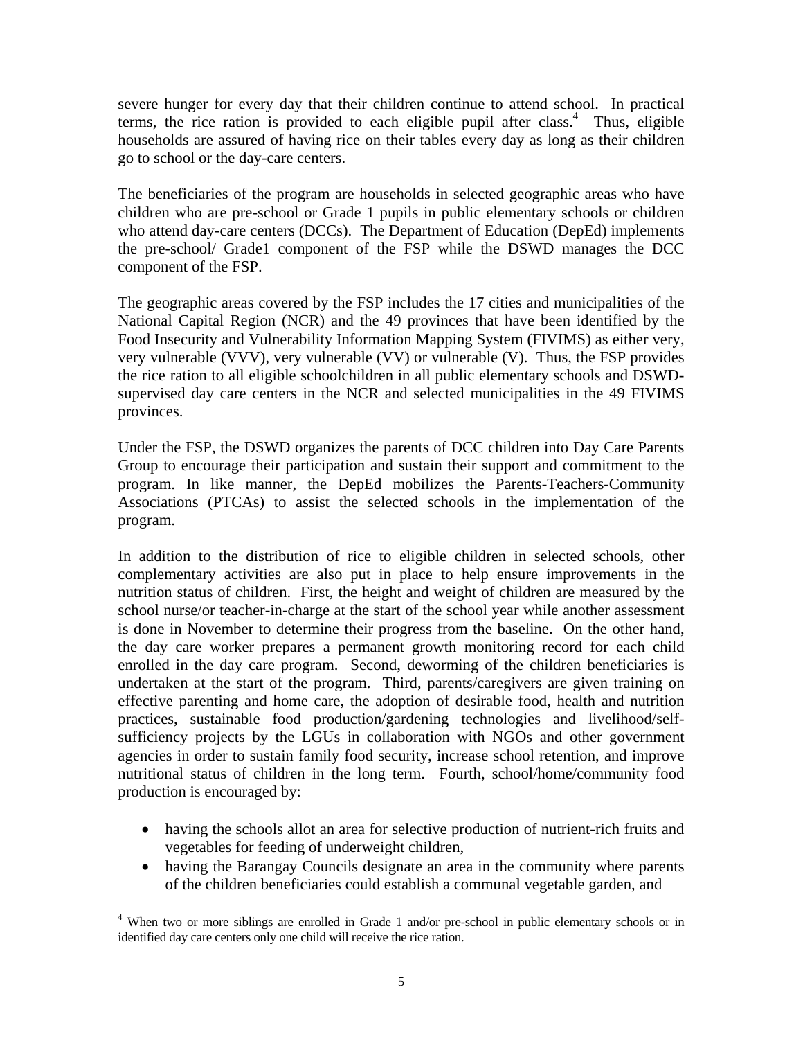severe hunger for every day that their children continue to attend school. In practical terms, the rice ration is provided to each eligible pupil after class.<sup>4</sup> Thus, eligible households are assured of having rice on their tables every day as long as their children go to school or the day-care centers.

The beneficiaries of the program are households in selected geographic areas who have children who are pre-school or Grade 1 pupils in public elementary schools or children who attend day-care centers (DCCs). The Department of Education (DepEd) implements the pre-school/ Grade1 component of the FSP while the DSWD manages the DCC component of the FSP.

The geographic areas covered by the FSP includes the 17 cities and municipalities of the National Capital Region (NCR) and the 49 provinces that have been identified by the Food Insecurity and Vulnerability Information Mapping System (FIVIMS) as either very, very vulnerable (VVV), very vulnerable (VV) or vulnerable (V). Thus, the FSP provides the rice ration to all eligible schoolchildren in all public elementary schools and DSWDsupervised day care centers in the NCR and selected municipalities in the 49 FIVIMS provinces.

Under the FSP, the DSWD organizes the parents of DCC children into Day Care Parents Group to encourage their participation and sustain their support and commitment to the program. In like manner, the DepEd mobilizes the Parents-Teachers-Community Associations (PTCAs) to assist the selected schools in the implementation of the program.

In addition to the distribution of rice to eligible children in selected schools, other complementary activities are also put in place to help ensure improvements in the nutrition status of children. First, the height and weight of children are measured by the school nurse/or teacher-in-charge at the start of the school year while another assessment is done in November to determine their progress from the baseline. On the other hand, the day care worker prepares a permanent growth monitoring record for each child enrolled in the day care program. Second, deworming of the children beneficiaries is undertaken at the start of the program. Third, parents/caregivers are given training on effective parenting and home care, the adoption of desirable food, health and nutrition practices, sustainable food production/gardening technologies and livelihood/selfsufficiency projects by the LGUs in collaboration with NGOs and other government agencies in order to sustain family food security, increase school retention, and improve nutritional status of children in the long term. Fourth, school/home/community food production is encouraged by:

- having the schools allot an area for selective production of nutrient-rich fruits and vegetables for feeding of underweight children,
- having the Barangay Councils designate an area in the community where parents of the children beneficiaries could establish a communal vegetable garden, and

 $\overline{a}$ 

<sup>&</sup>lt;sup>4</sup> When two or more siblings are enrolled in Grade 1 and/or pre-school in public elementary schools or in identified day care centers only one child will receive the rice ration.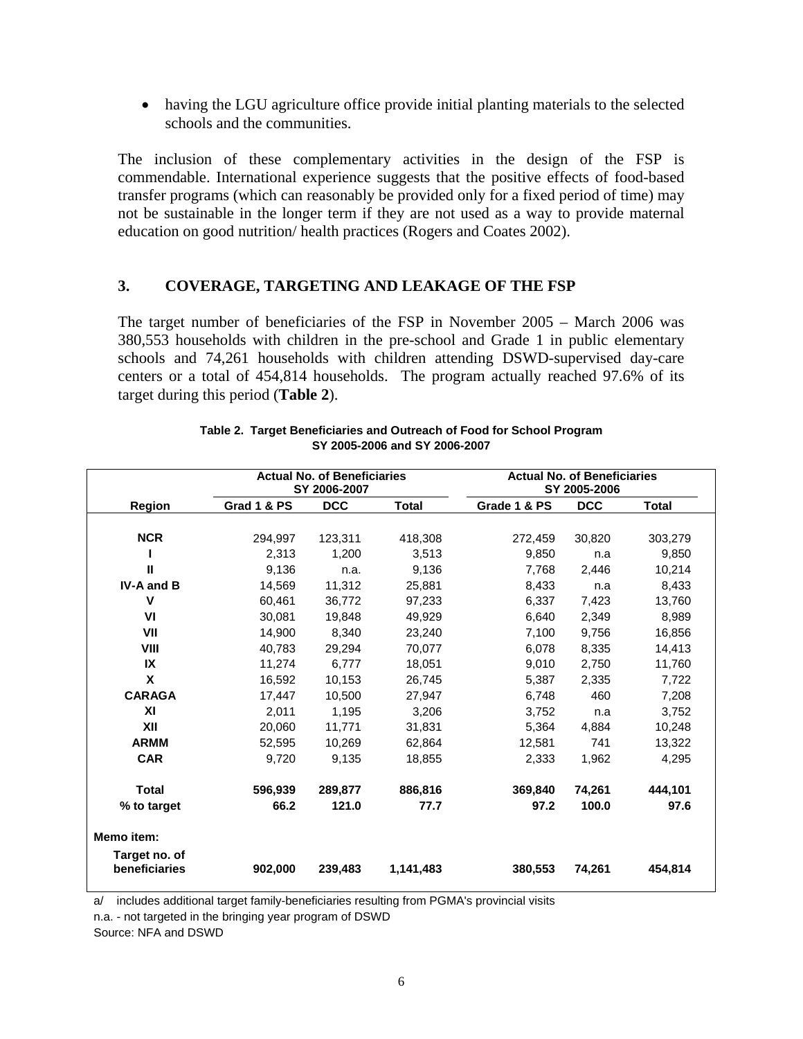• having the LGU agriculture office provide initial planting materials to the selected schools and the communities.

The inclusion of these complementary activities in the design of the FSP is commendable. International experience suggests that the positive effects of food-based transfer programs (which can reasonably be provided only for a fixed period of time) may not be sustainable in the longer term if they are not used as a way to provide maternal education on good nutrition/ health practices (Rogers and Coates 2002).

## **3. COVERAGE, TARGETING AND LEAKAGE OF THE FSP**

The target number of beneficiaries of the FSP in November 2005 – March 2006 was 380,553 households with children in the pre-school and Grade 1 in public elementary schools and 74,261 households with children attending DSWD-supervised day-care centers or a total of 454,814 households. The program actually reached 97.6% of its target during this period (**Table 2**).

|                                | <b>Actual No. of Beneficiaries</b><br>SY 2006-2007 |            | <b>Actual No. of Beneficiaries</b><br>SY 2005-2006 |              |            |              |
|--------------------------------|----------------------------------------------------|------------|----------------------------------------------------|--------------|------------|--------------|
| <b>Region</b>                  | Grad 1 & PS                                        | <b>DCC</b> | <b>Total</b>                                       | Grade 1 & PS | <b>DCC</b> | <b>Total</b> |
|                                |                                                    |            |                                                    |              |            |              |
| <b>NCR</b>                     | 294,997                                            | 123,311    | 418,308                                            | 272,459      | 30,820     | 303,279      |
|                                | 2.313                                              | 1.200      | 3.513                                              | 9,850        | n.a        | 9,850        |
| Ш                              | 9,136                                              | n.a.       | 9,136                                              | 7,768        | 2,446      | 10,214       |
| <b>IV-A and B</b>              | 14,569                                             | 11,312     | 25,881                                             | 8,433        | n.a        | 8,433        |
| v                              | 60,461                                             | 36,772     | 97,233                                             | 6,337        | 7,423      | 13,760       |
| VI                             | 30.081                                             | 19.848     | 49,929                                             | 6,640        | 2.349      | 8,989        |
| VII                            | 14,900                                             | 8,340      | 23,240                                             | 7,100        | 9,756      | 16,856       |
| <b>VIII</b>                    | 40,783                                             | 29,294     | 70,077                                             | 6,078        | 8,335      | 14,413       |
| IX                             | 11.274                                             | 6.777      | 18.051                                             | 9,010        | 2,750      | 11,760       |
| X                              | 16,592                                             | 10,153     | 26,745                                             | 5,387        | 2,335      | 7,722        |
| <b>CARAGA</b>                  | 17,447                                             | 10,500     | 27,947                                             | 6,748        | 460        | 7,208        |
| XI                             | 2,011                                              | 1,195      | 3,206                                              | 3,752        | n.a        | 3,752        |
| XII                            | 20,060                                             | 11,771     | 31,831                                             | 5,364        | 4.884      | 10,248       |
| <b>ARMM</b>                    | 52.595                                             | 10.269     | 62.864                                             | 12,581       | 741        | 13,322       |
| <b>CAR</b>                     | 9,720                                              | 9,135      | 18,855                                             | 2,333        | 1,962      | 4,295        |
| <b>Total</b>                   | 596,939                                            | 289,877    | 886,816                                            | 369,840      | 74,261     | 444,101      |
| % to target                    | 66.2                                               | 121.0      | 77.7                                               | 97.2         | 100.0      | 97.6         |
| Memo item:                     |                                                    |            |                                                    |              |            |              |
| Target no. of<br>beneficiaries | 902,000                                            | 239,483    | 1,141,483                                          | 380,553      | 74,261     | 454,814      |

| Table 2. Target Beneficiaries and Outreach of Food for School Program |
|-----------------------------------------------------------------------|
| SY 2005-2006 and SY 2006-2007                                         |

a/ includes additional target family-beneficiaries resulting from PGMA's provincial visits

n.a. - not targeted in the bringing year program of DSWD

Source: NFA and DSWD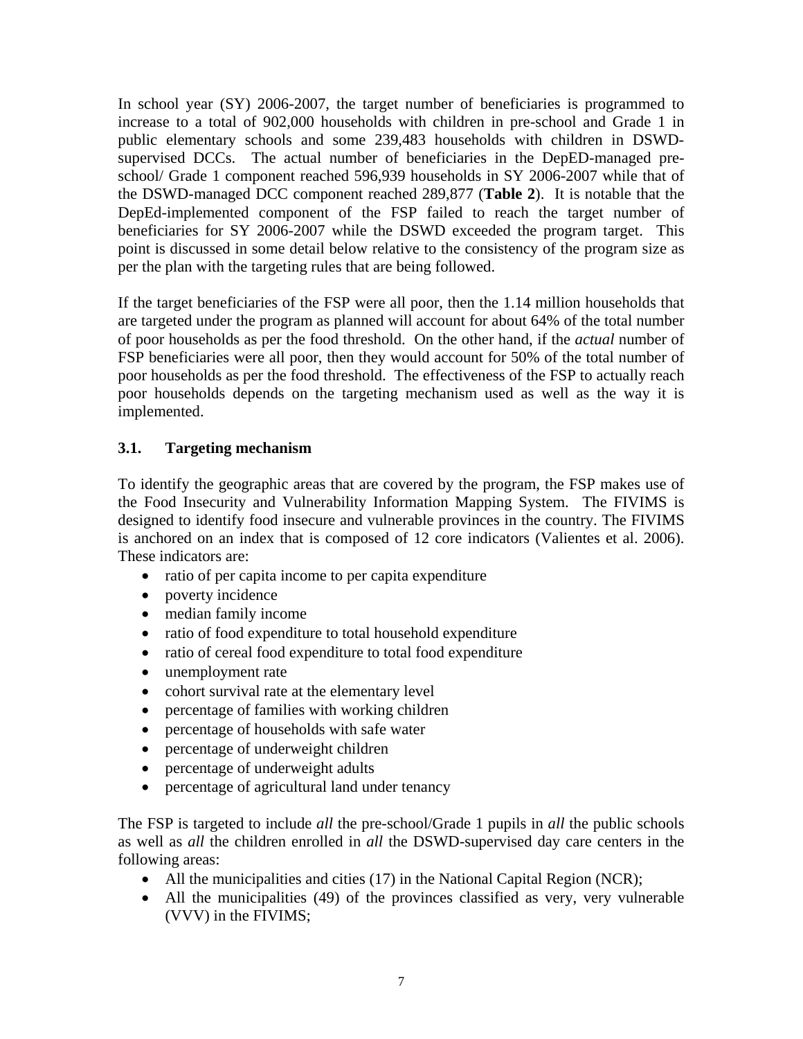In school year (SY) 2006-2007, the target number of beneficiaries is programmed to increase to a total of 902,000 households with children in pre-school and Grade 1 in public elementary schools and some 239,483 households with children in DSWDsupervised DCCs. The actual number of beneficiaries in the DepED-managed preschool/ Grade 1 component reached 596,939 households in SY 2006-2007 while that of the DSWD-managed DCC component reached 289,877 (**Table 2**). It is notable that the DepEd-implemented component of the FSP failed to reach the target number of beneficiaries for SY 2006-2007 while the DSWD exceeded the program target. This point is discussed in some detail below relative to the consistency of the program size as per the plan with the targeting rules that are being followed.

If the target beneficiaries of the FSP were all poor, then the 1.14 million households that are targeted under the program as planned will account for about 64% of the total number of poor households as per the food threshold. On the other hand, if the *actual* number of FSP beneficiaries were all poor, then they would account for 50% of the total number of poor households as per the food threshold. The effectiveness of the FSP to actually reach poor households depends on the targeting mechanism used as well as the way it is implemented.

## **3.1. Targeting mechanism**

To identify the geographic areas that are covered by the program, the FSP makes use of the Food Insecurity and Vulnerability Information Mapping System. The FIVIMS is designed to identify food insecure and vulnerable provinces in the country. The FIVIMS is anchored on an index that is composed of 12 core indicators (Valientes et al. 2006). These indicators are:

- ratio of per capita income to per capita expenditure
- poverty incidence
- median family income
- ratio of food expenditure to total household expenditure
- ratio of cereal food expenditure to total food expenditure
- unemployment rate
- cohort survival rate at the elementary level
- percentage of families with working children
- percentage of households with safe water
- percentage of underweight children
- percentage of underweight adults
- percentage of agricultural land under tenancy

The FSP is targeted to include *all* the pre-school/Grade 1 pupils in *all* the public schools as well as *all* the children enrolled in *all* the DSWD-supervised day care centers in the following areas:

- All the municipalities and cities (17) in the National Capital Region (NCR);
- All the municipalities (49) of the provinces classified as very, very vulnerable (VVV) in the FIVIMS;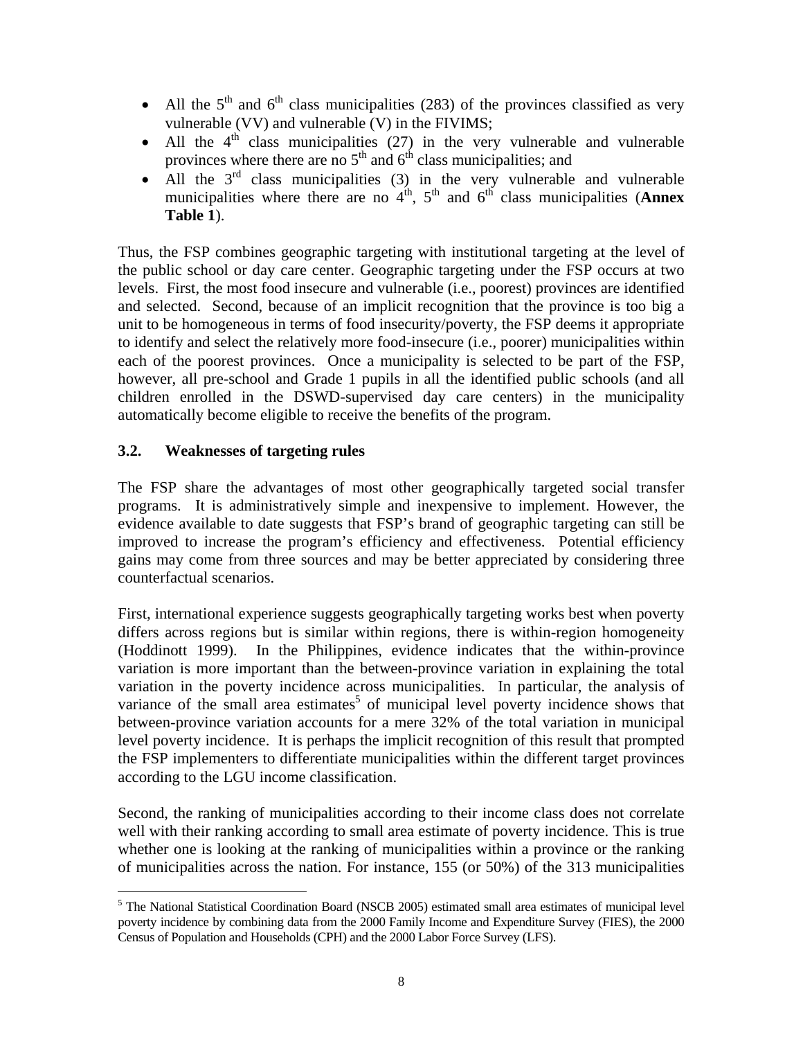- All the  $5<sup>th</sup>$  and  $6<sup>th</sup>$  class municipalities (283) of the provinces classified as very vulnerable (VV) and vulnerable (V) in the FIVIMS;
- All the  $4<sup>th</sup>$  class municipalities (27) in the very vulnerable and vulnerable provinces where there are no  $5<sup>th</sup>$  and  $6<sup>th</sup>$  class municipalities; and
- All the  $3<sup>rd</sup>$  class municipalities (3) in the very vulnerable and vulnerable municipalities where there are no  $4<sup>th</sup>$ ,  $5<sup>th</sup>$  and  $6<sup>th</sup>$  class municipalities (**Annex Table 1**).

Thus, the FSP combines geographic targeting with institutional targeting at the level of the public school or day care center. Geographic targeting under the FSP occurs at two levels. First, the most food insecure and vulnerable (i.e., poorest) provinces are identified and selected. Second, because of an implicit recognition that the province is too big a unit to be homogeneous in terms of food insecurity/poverty, the FSP deems it appropriate to identify and select the relatively more food-insecure (i.e., poorer) municipalities within each of the poorest provinces. Once a municipality is selected to be part of the FSP, however, all pre-school and Grade 1 pupils in all the identified public schools (and all children enrolled in the DSWD-supervised day care centers) in the municipality automatically become eligible to receive the benefits of the program.

## **3.2. Weaknesses of targeting rules**

The FSP share the advantages of most other geographically targeted social transfer programs. It is administratively simple and inexpensive to implement. However, the evidence available to date suggests that FSP's brand of geographic targeting can still be improved to increase the program's efficiency and effectiveness. Potential efficiency gains may come from three sources and may be better appreciated by considering three counterfactual scenarios.

First, international experience suggests geographically targeting works best when poverty differs across regions but is similar within regions, there is within-region homogeneity (Hoddinott 1999). In the Philippines, evidence indicates that the within-province variation is more important than the between-province variation in explaining the total variation in the poverty incidence across municipalities. In particular, the analysis of variance of the small area estimates<sup>5</sup> of municipal level poverty incidence shows that between-province variation accounts for a mere 32% of the total variation in municipal level poverty incidence. It is perhaps the implicit recognition of this result that prompted the FSP implementers to differentiate municipalities within the different target provinces according to the LGU income classification.

Second, the ranking of municipalities according to their income class does not correlate well with their ranking according to small area estimate of poverty incidence. This is true whether one is looking at the ranking of municipalities within a province or the ranking of municipalities across the nation. For instance, 155 (or 50%) of the 313 municipalities

 $\overline{a}$ <sup>5</sup> The National Statistical Coordination Board (NSCB 2005) estimated small area estimates of municipal level poverty incidence by combining data from the 2000 Family Income and Expenditure Survey (FIES), the 2000 Census of Population and Households (CPH) and the 2000 Labor Force Survey (LFS).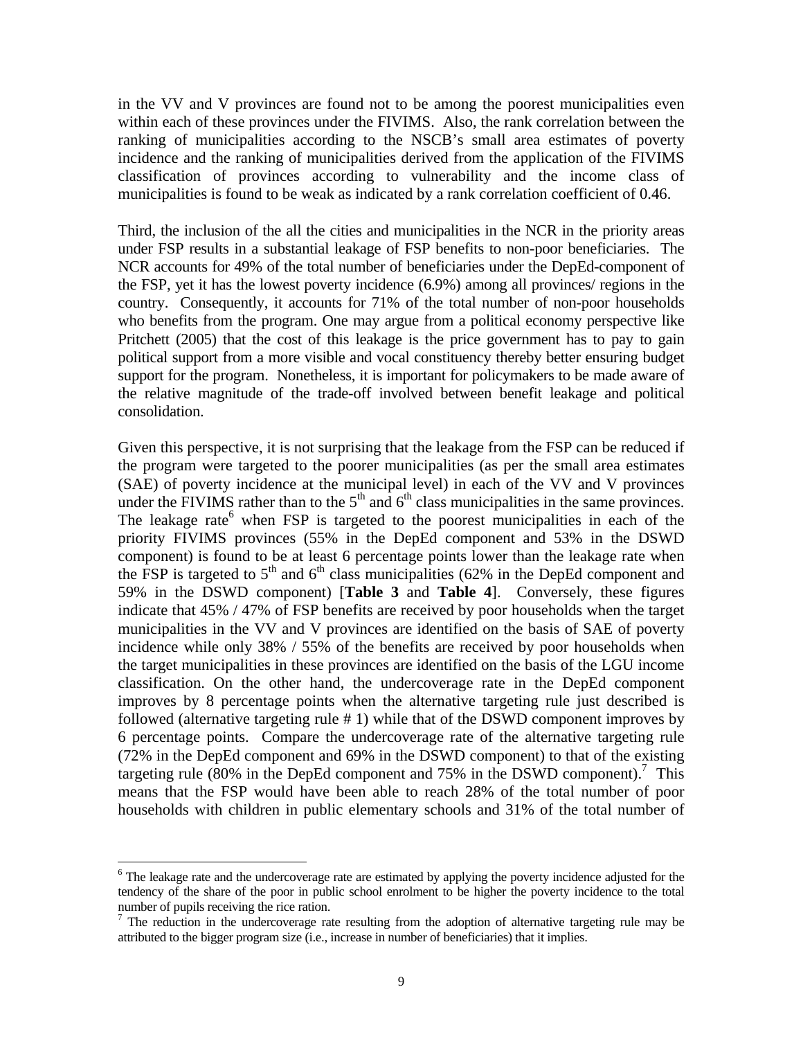in the VV and V provinces are found not to be among the poorest municipalities even within each of these provinces under the FIVIMS. Also, the rank correlation between the ranking of municipalities according to the NSCB's small area estimates of poverty incidence and the ranking of municipalities derived from the application of the FIVIMS classification of provinces according to vulnerability and the income class of municipalities is found to be weak as indicated by a rank correlation coefficient of 0.46.

Third, the inclusion of the all the cities and municipalities in the NCR in the priority areas under FSP results in a substantial leakage of FSP benefits to non-poor beneficiaries. The NCR accounts for 49% of the total number of beneficiaries under the DepEd-component of the FSP, yet it has the lowest poverty incidence (6.9%) among all provinces/ regions in the country. Consequently, it accounts for 71% of the total number of non-poor households who benefits from the program. One may argue from a political economy perspective like Pritchett (2005) that the cost of this leakage is the price government has to pay to gain political support from a more visible and vocal constituency thereby better ensuring budget support for the program. Nonetheless, it is important for policymakers to be made aware of the relative magnitude of the trade-off involved between benefit leakage and political consolidation.

Given this perspective, it is not surprising that the leakage from the FSP can be reduced if the program were targeted to the poorer municipalities (as per the small area estimates (SAE) of poverty incidence at the municipal level) in each of the VV and V provinces under the FIVIMS rather than to the  $5<sup>th</sup>$  and  $6<sup>th</sup>$  class municipalities in the same provinces. The leakage rate<sup>6</sup> when FSP is targeted to the poorest municipalities in each of the priority FIVIMS provinces (55% in the DepEd component and 53% in the DSWD component) is found to be at least 6 percentage points lower than the leakage rate when the FSP is targeted to  $5<sup>th</sup>$  and  $6<sup>th</sup>$  class municipalities (62% in the DepEd component and 59% in the DSWD component) [**Table 3** and **Table 4**]. Conversely, these figures indicate that 45% / 47% of FSP benefits are received by poor households when the target municipalities in the VV and V provinces are identified on the basis of SAE of poverty incidence while only 38% / 55% of the benefits are received by poor households when the target municipalities in these provinces are identified on the basis of the LGU income classification. On the other hand, the undercoverage rate in the DepEd component improves by 8 percentage points when the alternative targeting rule just described is followed (alternative targeting rule # 1) while that of the DSWD component improves by 6 percentage points. Compare the undercoverage rate of the alternative targeting rule (72% in the DepEd component and 69% in the DSWD component) to that of the existing targeting rule (80% in the DepEd component and 75% in the DSWD component).<sup>7</sup> This means that the FSP would have been able to reach 28% of the total number of poor households with children in public elementary schools and 31% of the total number of

1

<sup>&</sup>lt;sup>6</sup> The leakage rate and the undercoverage rate are estimated by applying the poverty incidence adjusted for the tendency of the share of the poor in public school enrolment to be higher the poverty incidence to the total number of pupils receiving the rice ration.

 $<sup>7</sup>$  The reduction in the undercoverage rate resulting from the adoption of alternative targeting rule may be</sup> attributed to the bigger program size (i.e., increase in number of beneficiaries) that it implies.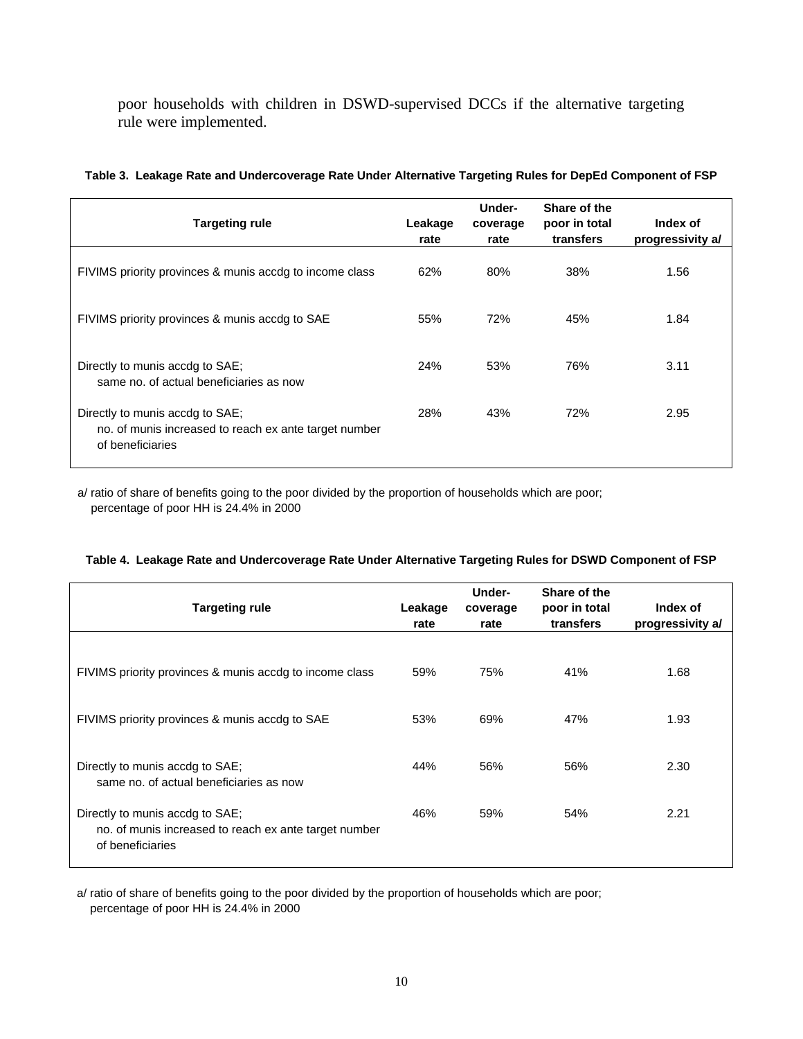poor households with children in DSWD-supervised DCCs if the alternative targeting rule were implemented.

| <b>Targeting rule</b>                                                                                        | Leakage<br>rate | Under-<br>coverage<br>rate | Share of the<br>poor in total<br>transfers | Index of<br>progressivity a/ |
|--------------------------------------------------------------------------------------------------------------|-----------------|----------------------------|--------------------------------------------|------------------------------|
| FIVIMS priority provinces & munis accdg to income class                                                      | 62%             | 80%                        | 38%                                        | 1.56                         |
| FIVIMS priority provinces & munis accdg to SAE                                                               | 55%             | 72%                        | 45%                                        | 1.84                         |
| Directly to munis accdg to SAE;<br>same no. of actual beneficiaries as now                                   | 24%             | 53%                        | 76%                                        | 3.11                         |
| Directly to munis accdg to SAE;<br>no. of munis increased to reach ex ante target number<br>of beneficiaries | 28%             | 43%                        | 72%                                        | 2.95                         |

#### **Table 3. Leakage Rate and Undercoverage Rate Under Alternative Targeting Rules for DepEd Component of FSP**

a/ ratio of share of benefits going to the poor divided by the proportion of households which are poor; percentage of poor HH is 24.4% in 2000

| <b>Targeting rule</b>                                                                                        | Leakage<br>rate | Under-<br>coverage<br>rate | Share of the<br>poor in total<br>transfers | Index of<br>progressivity a/ |
|--------------------------------------------------------------------------------------------------------------|-----------------|----------------------------|--------------------------------------------|------------------------------|
| FIVIMS priority provinces & munis accdg to income class                                                      | 59%             | 75%                        | 41%                                        | 1.68                         |
| FIVIMS priority provinces & munis accdg to SAE                                                               | 53%             | 69%                        | 47%                                        | 1.93                         |
| Directly to munis accdg to SAE;<br>same no. of actual beneficiaries as now                                   | 44%             | 56%                        | 56%                                        | 2.30                         |
| Directly to munis accdg to SAE;<br>no. of munis increased to reach ex ante target number<br>of beneficiaries | 46%             | 59%                        | 54%                                        | 2.21                         |

#### **Table 4. Leakage Rate and Undercoverage Rate Under Alternative Targeting Rules for DSWD Component of FSP**

a/ ratio of share of benefits going to the poor divided by the proportion of households which are poor; percentage of poor HH is 24.4% in 2000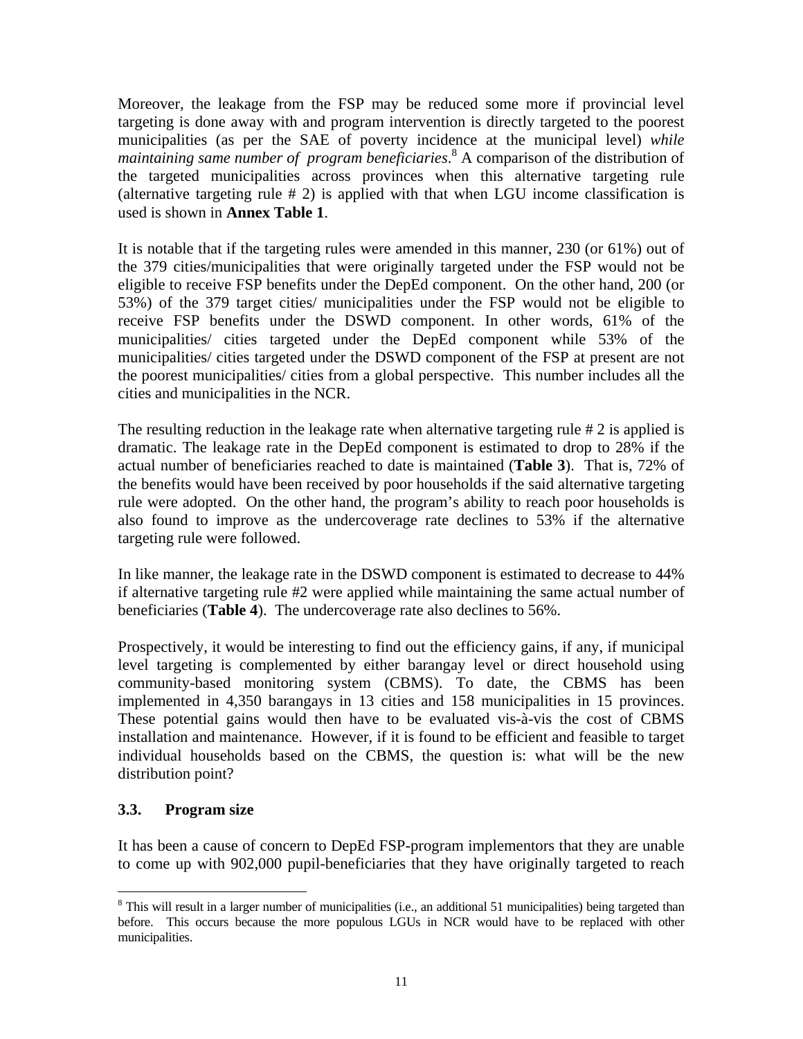Moreover, the leakage from the FSP may be reduced some more if provincial level targeting is done away with and program intervention is directly targeted to the poorest municipalities (as per the SAE of poverty incidence at the municipal level) *while*  maintaining same number of program beneficiaries.<sup>8</sup> A comparison of the distribution of the targeted municipalities across provinces when this alternative targeting rule (alternative targeting rule # 2) is applied with that when LGU income classification is used is shown in **Annex Table 1**.

It is notable that if the targeting rules were amended in this manner, 230 (or 61%) out of the 379 cities/municipalities that were originally targeted under the FSP would not be eligible to receive FSP benefits under the DepEd component. On the other hand, 200 (or 53%) of the 379 target cities/ municipalities under the FSP would not be eligible to receive FSP benefits under the DSWD component. In other words, 61% of the municipalities/ cities targeted under the DepEd component while 53% of the municipalities/ cities targeted under the DSWD component of the FSP at present are not the poorest municipalities/ cities from a global perspective. This number includes all the cities and municipalities in the NCR.

The resulting reduction in the leakage rate when alternative targeting rule #2 is applied is dramatic. The leakage rate in the DepEd component is estimated to drop to 28% if the actual number of beneficiaries reached to date is maintained (**Table 3**). That is, 72% of the benefits would have been received by poor households if the said alternative targeting rule were adopted. On the other hand, the program's ability to reach poor households is also found to improve as the undercoverage rate declines to 53% if the alternative targeting rule were followed.

In like manner, the leakage rate in the DSWD component is estimated to decrease to 44% if alternative targeting rule #2 were applied while maintaining the same actual number of beneficiaries (**Table 4**). The undercoverage rate also declines to 56%.

Prospectively, it would be interesting to find out the efficiency gains, if any, if municipal level targeting is complemented by either barangay level or direct household using community-based monitoring system (CBMS). To date, the CBMS has been implemented in 4,350 barangays in 13 cities and 158 municipalities in 15 provinces. These potential gains would then have to be evaluated vis-à-vis the cost of CBMS installation and maintenance. However, if it is found to be efficient and feasible to target individual households based on the CBMS, the question is: what will be the new distribution point?

## **3.3. Program size**

It has been a cause of concern to DepEd FSP-program implementors that they are unable to come up with 902,000 pupil-beneficiaries that they have originally targeted to reach

 $\overline{a}$ <sup>8</sup> This will result in a larger number of municipalities (i.e., an additional 51 municipalities) being targeted than before. This occurs because the more populous LGUs in NCR would have to be replaced with other municipalities.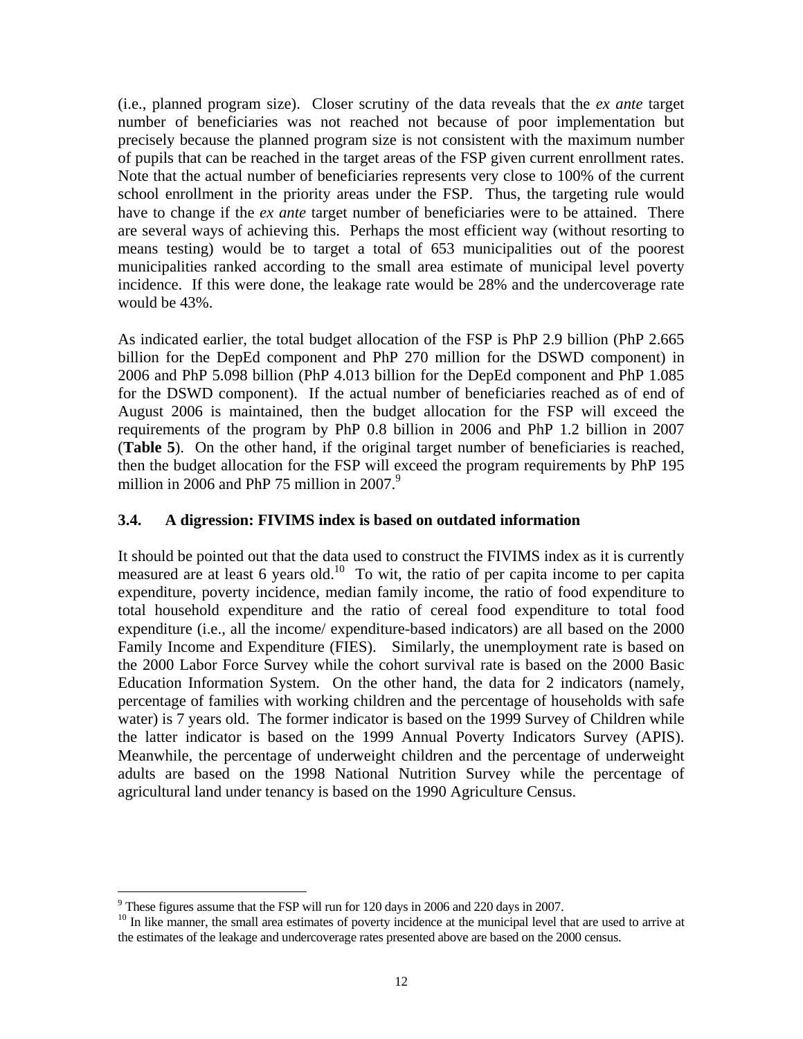(i.e., planned program size). Closer scrutiny of the data reveals that the *ex ante* target number of beneficiaries was not reached not because of poor implementation but precisely because the planned program size is not consistent with the maximum number of pupils that can be reached in the target areas of the FSP given current enrollment rates. Note that the actual number of beneficiaries represents very close to 100% of the current school enrollment in the priority areas under the FSP. Thus, the targeting rule would have to change if the *ex ante* target number of beneficiaries were to be attained. There are several ways of achieving this. Perhaps the most efficient way (without resorting to means testing) would be to target a total of 653 municipalities out of the poorest municipalities ranked according to the small area estimate of municipal level poverty incidence. If this were done, the leakage rate would be 28% and the undercoverage rate would be 43%.

As indicated earlier, the total budget allocation of the FSP is PhP 2.9 billion (PhP 2.665 billion for the DepEd component and PhP 270 million for the DSWD component) in 2006 and PhP 5.098 billion (PhP 4.013 billion for the DepEd component and PhP 1.085 for the DSWD component). If the actual number of beneficiaries reached as of end of August 2006 is maintained, then the budget allocation for the FSP will exceed the requirements of the program by PhP 0.8 billion in 2006 and PhP 1.2 billion in 2007 (**Table 5**). On the other hand, if the original target number of beneficiaries is reached, then the budget allocation for the FSP will exceed the program requirements by PhP 195 million in 2006 and PhP 75 million in 2007. $9$ 

## **3.4. A digression: FIVIMS index is based on outdated information**

It should be pointed out that the data used to construct the FIVIMS index as it is currently measured are at least 6 years old.<sup>10</sup> To wit, the ratio of per capita income to per capita expenditure, poverty incidence, median family income, the ratio of food expenditure to total household expenditure and the ratio of cereal food expenditure to total food expenditure (i.e., all the income/ expenditure-based indicators) are all based on the 2000 Family Income and Expenditure (FIES). Similarly, the unemployment rate is based on the 2000 Labor Force Survey while the cohort survival rate is based on the 2000 Basic Education Information System. On the other hand, the data for 2 indicators (namely, percentage of families with working children and the percentage of households with safe water) is 7 years old. The former indicator is based on the 1999 Survey of Children while the latter indicator is based on the 1999 Annual Poverty Indicators Survey (APIS). Meanwhile, the percentage of underweight children and the percentage of underweight adults are based on the 1998 National Nutrition Survey while the percentage of agricultural land under tenancy is based on the 1990 Agriculture Census.

 $\overline{a}$  $9^9$  These figures assume that the FSP will run for 120 days in 2006 and 220 days in 2007.

<sup>&</sup>lt;sup>10</sup> In like manner, the small area estimates of poverty incidence at the municipal level that are used to arrive at the estimates of the leakage and undercoverage rates presented above are based on the 2000 census.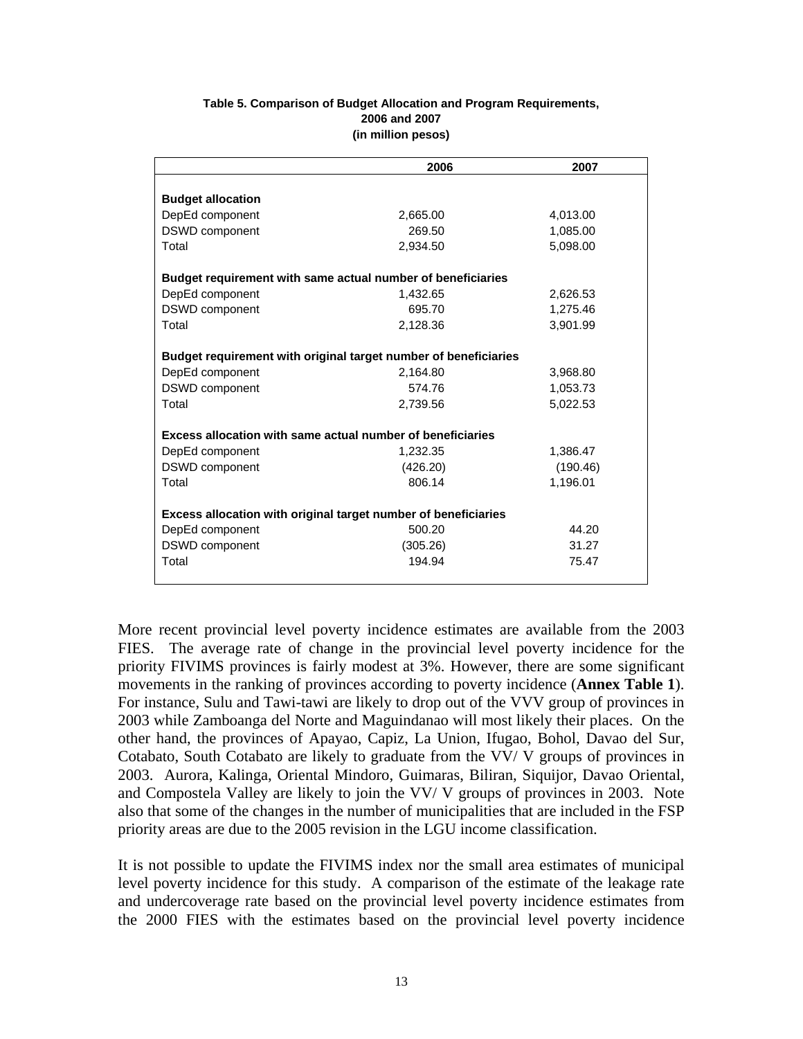#### **Table 5. Comparison of Budget Allocation and Program Requirements, 2006 and 2007 (in million pesos)**

|                                                                 | 2006     | 2007     |
|-----------------------------------------------------------------|----------|----------|
|                                                                 |          |          |
| <b>Budget allocation</b>                                        |          |          |
| DepEd component                                                 | 2,665.00 | 4,013.00 |
| DSWD component                                                  | 269.50   | 1,085.00 |
| Total                                                           | 2.934.50 | 5.098.00 |
| Budget requirement with same actual number of beneficiaries     |          |          |
| DepEd component                                                 | 1,432.65 | 2,626.53 |
| <b>DSWD</b> component                                           | 695.70   | 1,275.46 |
| Total                                                           | 2,128.36 | 3.901.99 |
| Budget requirement with original target number of beneficiaries |          |          |
| DepEd component                                                 | 2,164.80 | 3,968.80 |
| <b>DSWD</b> component                                           | 574.76   | 1,053.73 |
| Total                                                           | 2,739.56 | 5,022.53 |
| Excess allocation with same actual number of beneficiaries      |          |          |
| DepEd component                                                 | 1,232.35 | 1.386.47 |
| <b>DSWD</b> component                                           | (426.20) | (190.46) |
| Total                                                           | 806.14   | 1,196.01 |
|                                                                 |          |          |
| Excess allocation with original target number of beneficiaries  | 500.20   | 44.20    |
| DepEd component                                                 |          | 31.27    |
| <b>DSWD</b> component                                           | (305.26) |          |
| Total                                                           | 194.94   | 75.47    |

More recent provincial level poverty incidence estimates are available from the 2003 FIES. The average rate of change in the provincial level poverty incidence for the priority FIVIMS provinces is fairly modest at 3%. However, there are some significant movements in the ranking of provinces according to poverty incidence (**Annex Table 1**). For instance, Sulu and Tawi-tawi are likely to drop out of the VVV group of provinces in 2003 while Zamboanga del Norte and Maguindanao will most likely their places. On the other hand, the provinces of Apayao, Capiz, La Union, Ifugao, Bohol, Davao del Sur, Cotabato, South Cotabato are likely to graduate from the VV/ V groups of provinces in 2003. Aurora, Kalinga, Oriental Mindoro, Guimaras, Biliran, Siquijor, Davao Oriental, and Compostela Valley are likely to join the VV/ V groups of provinces in 2003. Note also that some of the changes in the number of municipalities that are included in the FSP priority areas are due to the 2005 revision in the LGU income classification.

It is not possible to update the FIVIMS index nor the small area estimates of municipal level poverty incidence for this study. A comparison of the estimate of the leakage rate and undercoverage rate based on the provincial level poverty incidence estimates from the 2000 FIES with the estimates based on the provincial level poverty incidence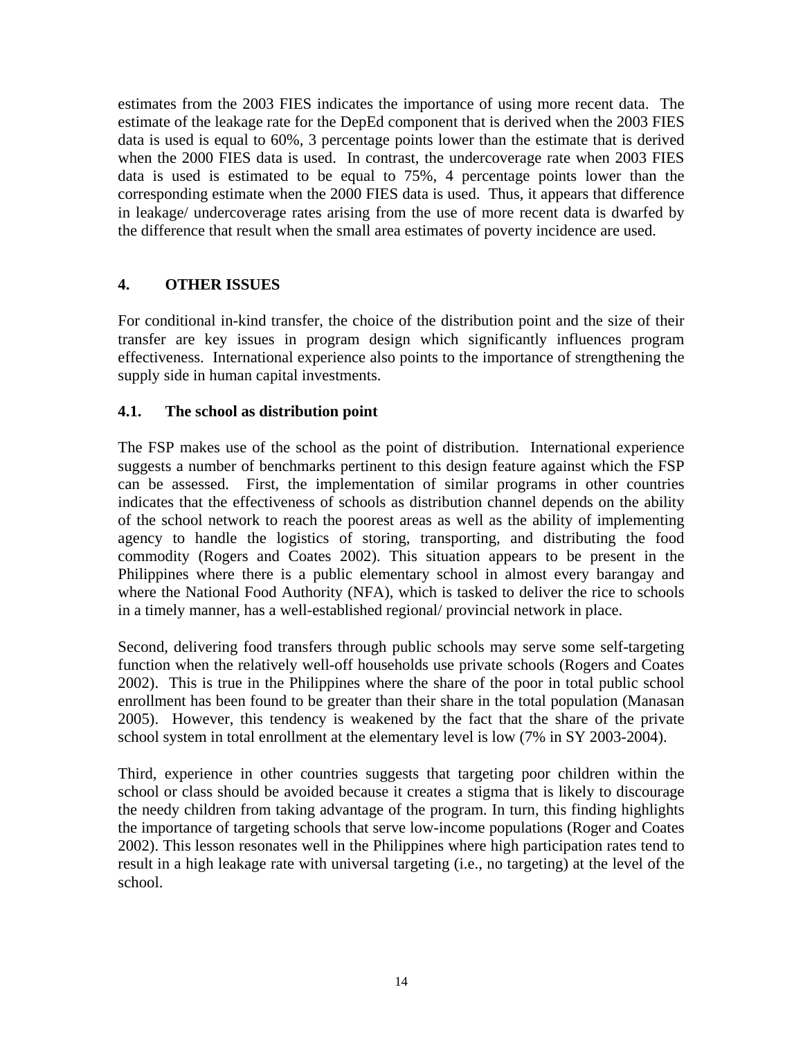estimates from the 2003 FIES indicates the importance of using more recent data. The estimate of the leakage rate for the DepEd component that is derived when the 2003 FIES data is used is equal to 60%, 3 percentage points lower than the estimate that is derived when the 2000 FIES data is used. In contrast, the undercoverage rate when 2003 FIES data is used is estimated to be equal to 75%, 4 percentage points lower than the corresponding estimate when the 2000 FIES data is used. Thus, it appears that difference in leakage/ undercoverage rates arising from the use of more recent data is dwarfed by the difference that result when the small area estimates of poverty incidence are used.

## **4. OTHER ISSUES**

For conditional in-kind transfer, the choice of the distribution point and the size of their transfer are key issues in program design which significantly influences program effectiveness. International experience also points to the importance of strengthening the supply side in human capital investments.

## **4.1. The school as distribution point**

The FSP makes use of the school as the point of distribution. International experience suggests a number of benchmarks pertinent to this design feature against which the FSP can be assessed. First, the implementation of similar programs in other countries indicates that the effectiveness of schools as distribution channel depends on the ability of the school network to reach the poorest areas as well as the ability of implementing agency to handle the logistics of storing, transporting, and distributing the food commodity (Rogers and Coates 2002). This situation appears to be present in the Philippines where there is a public elementary school in almost every barangay and where the National Food Authority (NFA), which is tasked to deliver the rice to schools in a timely manner, has a well-established regional/ provincial network in place.

Second, delivering food transfers through public schools may serve some self-targeting function when the relatively well-off households use private schools (Rogers and Coates 2002). This is true in the Philippines where the share of the poor in total public school enrollment has been found to be greater than their share in the total population (Manasan 2005). However, this tendency is weakened by the fact that the share of the private school system in total enrollment at the elementary level is low (7% in SY 2003-2004).

Third, experience in other countries suggests that targeting poor children within the school or class should be avoided because it creates a stigma that is likely to discourage the needy children from taking advantage of the program. In turn, this finding highlights the importance of targeting schools that serve low-income populations (Roger and Coates 2002). This lesson resonates well in the Philippines where high participation rates tend to result in a high leakage rate with universal targeting (i.e., no targeting) at the level of the school.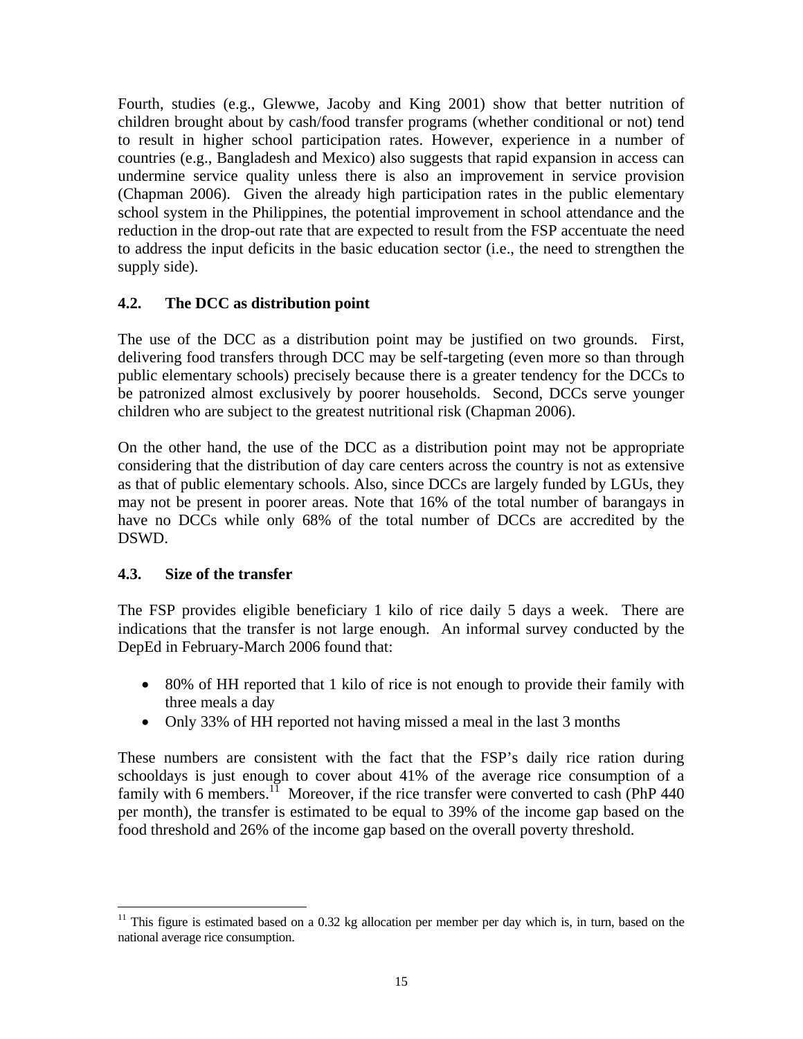Fourth, studies (e.g., Glewwe, Jacoby and King 2001) show that better nutrition of children brought about by cash/food transfer programs (whether conditional or not) tend to result in higher school participation rates. However, experience in a number of countries (e.g., Bangladesh and Mexico) also suggests that rapid expansion in access can undermine service quality unless there is also an improvement in service provision (Chapman 2006). Given the already high participation rates in the public elementary school system in the Philippines, the potential improvement in school attendance and the reduction in the drop-out rate that are expected to result from the FSP accentuate the need to address the input deficits in the basic education sector (i.e., the need to strengthen the supply side).

## **4.2. The DCC as distribution point**

The use of the DCC as a distribution point may be justified on two grounds. First, delivering food transfers through DCC may be self-targeting (even more so than through public elementary schools) precisely because there is a greater tendency for the DCCs to be patronized almost exclusively by poorer households. Second, DCCs serve younger children who are subject to the greatest nutritional risk (Chapman 2006).

On the other hand, the use of the DCC as a distribution point may not be appropriate considering that the distribution of day care centers across the country is not as extensive as that of public elementary schools. Also, since DCCs are largely funded by LGUs, they may not be present in poorer areas. Note that 16% of the total number of barangays in have no DCCs while only 68% of the total number of DCCs are accredited by the DSWD.

## **4.3. Size of the transfer**

 $\overline{a}$ 

The FSP provides eligible beneficiary 1 kilo of rice daily 5 days a week. There are indications that the transfer is not large enough. An informal survey conducted by the DepEd in February-March 2006 found that:

- 80% of HH reported that 1 kilo of rice is not enough to provide their family with three meals a day
- Only 33% of HH reported not having missed a meal in the last 3 months

These numbers are consistent with the fact that the FSP's daily rice ration during schooldays is just enough to cover about 41% of the average rice consumption of a family with 6 members.<sup>11</sup> Moreover, if the rice transfer were converted to cash (PhP  $440$ ) per month), the transfer is estimated to be equal to 39% of the income gap based on the food threshold and 26% of the income gap based on the overall poverty threshold.

<sup>&</sup>lt;sup>11</sup> This figure is estimated based on a 0.32 kg allocation per member per day which is, in turn, based on the national average rice consumption.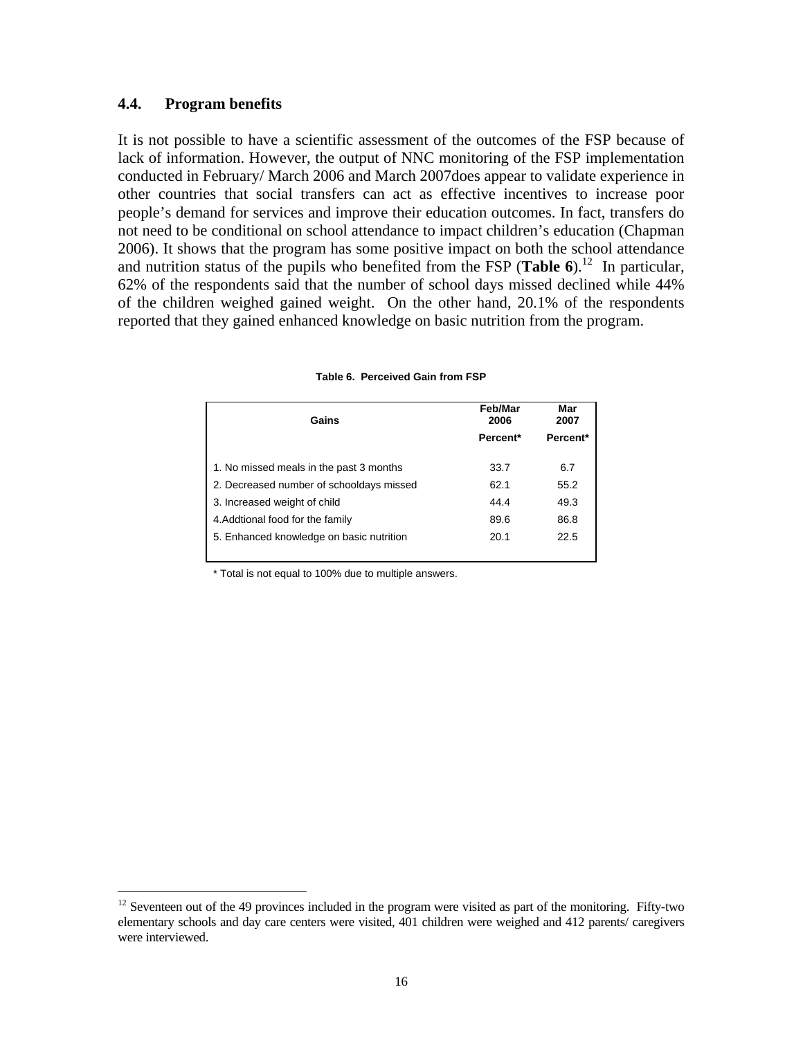### **4.4. Program benefits**

 $\overline{a}$ 

It is not possible to have a scientific assessment of the outcomes of the FSP because of lack of information. However, the output of NNC monitoring of the FSP implementation conducted in February/ March 2006 and March 2007does appear to validate experience in other countries that social transfers can act as effective incentives to increase poor people's demand for services and improve their education outcomes. In fact, transfers do not need to be conditional on school attendance to impact children's education (Chapman 2006). It shows that the program has some positive impact on both the school attendance and nutrition status of the pupils who benefited from the FSP (**Table 6**).<sup>12</sup> In particular, 62% of the respondents said that the number of school days missed declined while 44% of the children weighed gained weight. On the other hand, 20.1% of the respondents reported that they gained enhanced knowledge on basic nutrition from the program.

| Gains                                    | Feb/Mar<br>2006 | Mar<br>2007 |
|------------------------------------------|-----------------|-------------|
|                                          | Percent*        | Percent*    |
| 1. No missed meals in the past 3 months  | 33.7            | 6.7         |
| 2. Decreased number of schooldays missed | 62.1            | 55.2        |
| 3. Increased weight of child             | 44.4            | 49.3        |
| 4. Addtional food for the family         | 89.6            | 86.8        |
| 5. Enhanced knowledge on basic nutrition | 20.1            | 22.5        |

#### **Table 6. Perceived Gain from FSP**

\* Total is not equal to 100% due to multiple answers.

 $12$  Seventeen out of the 49 provinces included in the program were visited as part of the monitoring. Fifty-two elementary schools and day care centers were visited, 401 children were weighed and 412 parents/ caregivers were interviewed.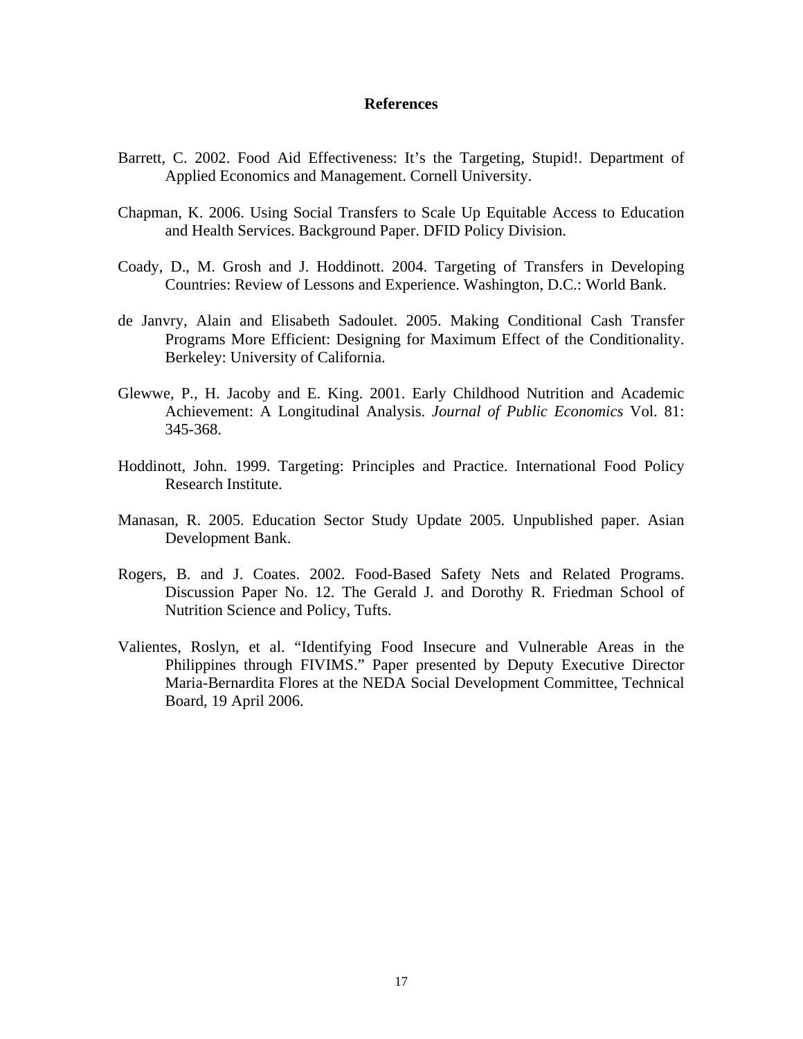#### **References**

- Barrett, C. 2002. Food Aid Effectiveness: It's the Targeting, Stupid!. Department of Applied Economics and Management. Cornell University.
- Chapman, K. 2006. Using Social Transfers to Scale Up Equitable Access to Education and Health Services. Background Paper. DFID Policy Division.
- Coady, D., M. Grosh and J. Hoddinott. 2004. Targeting of Transfers in Developing Countries: Review of Lessons and Experience. Washington, D.C.: World Bank.
- de Janvry, Alain and Elisabeth Sadoulet. 2005. Making Conditional Cash Transfer Programs More Efficient: Designing for Maximum Effect of the Conditionality. Berkeley: University of California.
- Glewwe, P., H. Jacoby and E. King. 2001. Early Childhood Nutrition and Academic Achievement: A Longitudinal Analysis. *Journal of Public Economics* Vol. 81: 345-368.
- Hoddinott, John. 1999. Targeting: Principles and Practice. International Food Policy Research Institute.
- Manasan, R. 2005. Education Sector Study Update 2005. Unpublished paper. Asian Development Bank.
- Rogers, B. and J. Coates. 2002. Food-Based Safety Nets and Related Programs. Discussion Paper No. 12. The Gerald J. and Dorothy R. Friedman School of Nutrition Science and Policy, Tufts.
- Valientes, Roslyn, et al. "Identifying Food Insecure and Vulnerable Areas in the Philippines through FIVIMS." Paper presented by Deputy Executive Director Maria-Bernardita Flores at the NEDA Social Development Committee, Technical Board, 19 April 2006.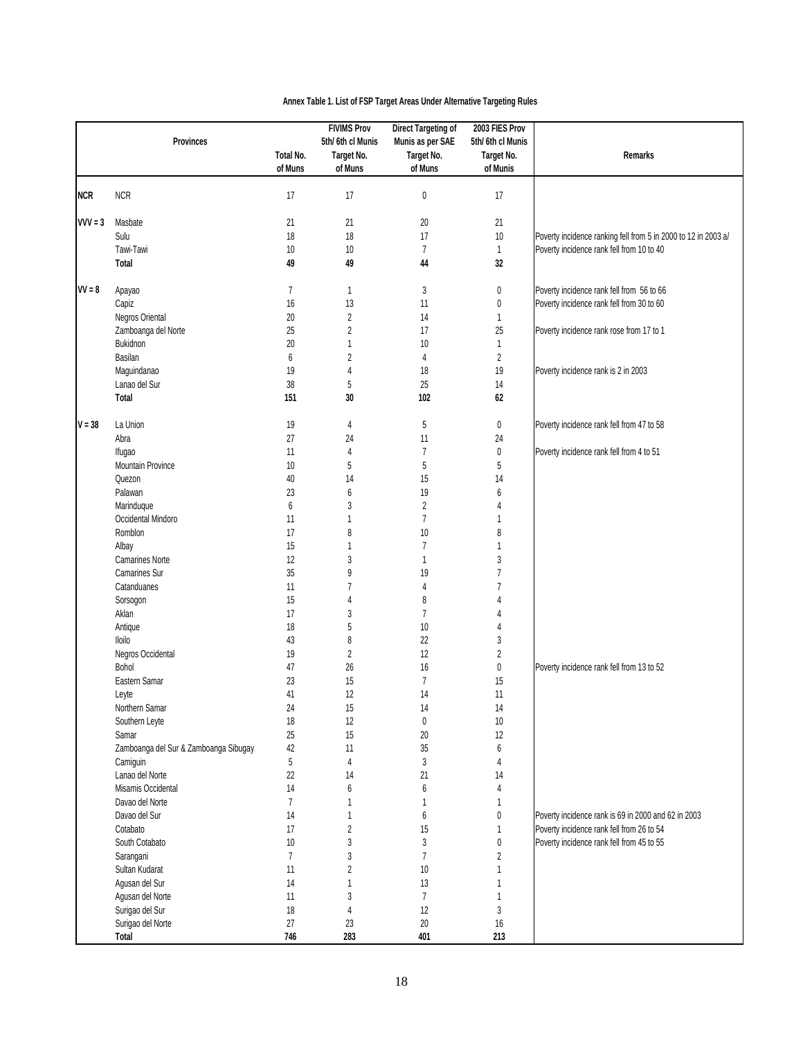#### **Annex Table 1. List of FSP Target Areas Under Alternative Targeting Rules**

| NCR<br><b>NCR</b><br>17<br>17<br>$\pmb{0}$<br>17<br>$VVV = 3$<br>21<br>Masbate<br>21<br>21<br>20<br>Sulu<br>18<br>18<br>17<br>$10\,$<br>Poverty incidence ranking fell from 5 in 2000 to 12 in 2003 a/<br>Tawi-Tawi<br>10<br>10<br>$\overline{7}$<br>$\mathbf{1}$<br>Poverty incidence rank fell from 10 to 40<br>Total<br>49<br>49<br>44<br>32<br>$VV = 8$<br>$\overline{7}$<br>3<br>$\pmb{0}$<br>Poverty incidence rank fell from 56 to 66<br>Apayao<br>1<br>Capiz<br>16<br>13<br>11<br>0<br>Poverty incidence rank fell from 30 to 60<br>Negros Oriental<br>$20\,$<br>$\overline{c}$<br>14<br>$\mathbf{1}$<br>Zamboanga del Norte<br>25<br>$\overline{c}$<br>17<br>25<br>Poverty incidence rank rose from 17 to 1<br>Bukidnon<br>20<br>10<br>$\mathbf{1}$<br>Basilan<br>$\sqrt{2}$<br>6<br>$\overline{4}$<br>2<br>Maguindanao<br>18<br>19<br>19<br>4<br>Poverty incidence rank is 2 in 2003<br>Lanao del Sur<br>38<br>5<br>25<br>14<br>Total<br>151<br>30<br>102<br>62<br>La Union<br>5<br>$V = 38$<br>19<br>0<br>Poverty incidence rank fell from 47 to 58<br>4<br>24<br>Abra<br>27<br>11<br>24<br>11<br>$\overline{7}$<br>0<br>Poverty incidence rank fell from 4 to 51<br>Ifugao<br>4<br>Mountain Province<br>$10$<br>5<br>5<br>5<br>Quezon<br>40<br>15<br>14<br>14<br>Palawan<br>23<br>19<br>6<br>6<br>6<br>$\overline{2}$<br>Marinduque<br>3<br>4<br>$\overline{7}$<br>Occidental Mindoro<br>11<br>1<br>1<br>Romblon<br>17<br>10<br>8<br>8<br>15<br>$\overline{7}$<br>Albay<br>1<br><b>Camarines Norte</b><br>12<br>3<br>3<br>$\mathbf{1}$<br><b>Camarines Sur</b><br>35<br>9<br>19<br>7<br>Catanduanes<br>11<br>7<br>7<br>$\overline{4}$<br>15<br>8<br>Sorsogon<br>4<br>4<br>Aklan<br>$\overline{7}$<br>17<br>3<br>4<br>18<br>5<br>10<br>Antique<br>4<br>lloilo<br>43<br>8<br>22<br>3<br>$\overline{\mathbf{c}}$<br>Negros Occidental<br>19<br>$\overline{2}$<br>12<br>Bohol<br>47<br>26<br>16<br>0<br>Poverty incidence rank fell from 13 to 52<br>Eastern Samar<br>23<br>15<br>$\overline{7}$<br>15<br>41<br>12<br>14<br>11<br>Leyte<br>24<br>15<br>Northern Samar<br>14<br>14<br>18<br>$\pmb{0}$<br>Southern Leyte<br>12<br>10<br>25<br>Samar<br>15<br>20<br>12<br>Zamboanga del Sur & Zamboanga Sibugay<br>42<br>11<br>35<br>6<br>5<br>$\sqrt{3}$<br>Camiguin<br>4<br>4<br>Lanao del Norte<br>22<br>21<br>14<br>14<br>14<br>Misamis Occidental<br>6<br>6<br>4<br>$\overline{7}$<br>Davao del Norte<br>$\mathbf{1}$<br>1<br>Davao del Sur<br>14<br>6<br>Poverty incidence rank is 69 in 2000 and 62 in 2003<br>0<br>1<br>Cotabato<br>17<br>$\overline{c}$<br>15<br>Poverty incidence rank fell from 26 to 54<br>South Cotabato<br>10<br>3<br>3<br>Poverty incidence rank fell from 45 to 55<br>0<br>$\overline{7}$<br>$\overline{7}$<br>3<br>2<br>Sarangani<br>Sultan Kudarat<br>11<br>10<br>2<br>1 | <b>Provinces</b> | Total No.<br>of Muns | <b>FIVIMS Prov</b><br>5th/6th cl Munis<br>Target No.<br>of Muns | Direct Targeting of<br>Munis as per SAE<br>Target No.<br>of Muns | 2003 FIES Prov<br>5th/6th cl Munis<br>Target No.<br>of Munis | Remarks |
|-----------------------------------------------------------------------------------------------------------------------------------------------------------------------------------------------------------------------------------------------------------------------------------------------------------------------------------------------------------------------------------------------------------------------------------------------------------------------------------------------------------------------------------------------------------------------------------------------------------------------------------------------------------------------------------------------------------------------------------------------------------------------------------------------------------------------------------------------------------------------------------------------------------------------------------------------------------------------------------------------------------------------------------------------------------------------------------------------------------------------------------------------------------------------------------------------------------------------------------------------------------------------------------------------------------------------------------------------------------------------------------------------------------------------------------------------------------------------------------------------------------------------------------------------------------------------------------------------------------------------------------------------------------------------------------------------------------------------------------------------------------------------------------------------------------------------------------------------------------------------------------------------------------------------------------------------------------------------------------------------------------------------------------------------------------------------------------------------------------------------------------------------------------------------------------------------------------------------------------------------------------------------------------------------------------------------------------------------------------------------------------------------------------------------------------------------------------------------------------------------------------------------------------------------------------------------------------------------------------------------------------------------------------------------------------------------------------------------------------------------------------------------------------------------------------------|------------------|----------------------|-----------------------------------------------------------------|------------------------------------------------------------------|--------------------------------------------------------------|---------|
|                                                                                                                                                                                                                                                                                                                                                                                                                                                                                                                                                                                                                                                                                                                                                                                                                                                                                                                                                                                                                                                                                                                                                                                                                                                                                                                                                                                                                                                                                                                                                                                                                                                                                                                                                                                                                                                                                                                                                                                                                                                                                                                                                                                                                                                                                                                                                                                                                                                                                                                                                                                                                                                                                                                                                                                                                 |                  |                      |                                                                 |                                                                  |                                                              |         |
|                                                                                                                                                                                                                                                                                                                                                                                                                                                                                                                                                                                                                                                                                                                                                                                                                                                                                                                                                                                                                                                                                                                                                                                                                                                                                                                                                                                                                                                                                                                                                                                                                                                                                                                                                                                                                                                                                                                                                                                                                                                                                                                                                                                                                                                                                                                                                                                                                                                                                                                                                                                                                                                                                                                                                                                                                 |                  |                      |                                                                 |                                                                  |                                                              |         |
|                                                                                                                                                                                                                                                                                                                                                                                                                                                                                                                                                                                                                                                                                                                                                                                                                                                                                                                                                                                                                                                                                                                                                                                                                                                                                                                                                                                                                                                                                                                                                                                                                                                                                                                                                                                                                                                                                                                                                                                                                                                                                                                                                                                                                                                                                                                                                                                                                                                                                                                                                                                                                                                                                                                                                                                                                 |                  |                      |                                                                 |                                                                  |                                                              |         |
|                                                                                                                                                                                                                                                                                                                                                                                                                                                                                                                                                                                                                                                                                                                                                                                                                                                                                                                                                                                                                                                                                                                                                                                                                                                                                                                                                                                                                                                                                                                                                                                                                                                                                                                                                                                                                                                                                                                                                                                                                                                                                                                                                                                                                                                                                                                                                                                                                                                                                                                                                                                                                                                                                                                                                                                                                 |                  |                      |                                                                 |                                                                  |                                                              |         |
|                                                                                                                                                                                                                                                                                                                                                                                                                                                                                                                                                                                                                                                                                                                                                                                                                                                                                                                                                                                                                                                                                                                                                                                                                                                                                                                                                                                                                                                                                                                                                                                                                                                                                                                                                                                                                                                                                                                                                                                                                                                                                                                                                                                                                                                                                                                                                                                                                                                                                                                                                                                                                                                                                                                                                                                                                 |                  |                      |                                                                 |                                                                  |                                                              |         |
|                                                                                                                                                                                                                                                                                                                                                                                                                                                                                                                                                                                                                                                                                                                                                                                                                                                                                                                                                                                                                                                                                                                                                                                                                                                                                                                                                                                                                                                                                                                                                                                                                                                                                                                                                                                                                                                                                                                                                                                                                                                                                                                                                                                                                                                                                                                                                                                                                                                                                                                                                                                                                                                                                                                                                                                                                 |                  |                      |                                                                 |                                                                  |                                                              |         |
|                                                                                                                                                                                                                                                                                                                                                                                                                                                                                                                                                                                                                                                                                                                                                                                                                                                                                                                                                                                                                                                                                                                                                                                                                                                                                                                                                                                                                                                                                                                                                                                                                                                                                                                                                                                                                                                                                                                                                                                                                                                                                                                                                                                                                                                                                                                                                                                                                                                                                                                                                                                                                                                                                                                                                                                                                 |                  |                      |                                                                 |                                                                  |                                                              |         |
|                                                                                                                                                                                                                                                                                                                                                                                                                                                                                                                                                                                                                                                                                                                                                                                                                                                                                                                                                                                                                                                                                                                                                                                                                                                                                                                                                                                                                                                                                                                                                                                                                                                                                                                                                                                                                                                                                                                                                                                                                                                                                                                                                                                                                                                                                                                                                                                                                                                                                                                                                                                                                                                                                                                                                                                                                 |                  |                      |                                                                 |                                                                  |                                                              |         |
|                                                                                                                                                                                                                                                                                                                                                                                                                                                                                                                                                                                                                                                                                                                                                                                                                                                                                                                                                                                                                                                                                                                                                                                                                                                                                                                                                                                                                                                                                                                                                                                                                                                                                                                                                                                                                                                                                                                                                                                                                                                                                                                                                                                                                                                                                                                                                                                                                                                                                                                                                                                                                                                                                                                                                                                                                 |                  |                      |                                                                 |                                                                  |                                                              |         |
|                                                                                                                                                                                                                                                                                                                                                                                                                                                                                                                                                                                                                                                                                                                                                                                                                                                                                                                                                                                                                                                                                                                                                                                                                                                                                                                                                                                                                                                                                                                                                                                                                                                                                                                                                                                                                                                                                                                                                                                                                                                                                                                                                                                                                                                                                                                                                                                                                                                                                                                                                                                                                                                                                                                                                                                                                 |                  |                      |                                                                 |                                                                  |                                                              |         |
|                                                                                                                                                                                                                                                                                                                                                                                                                                                                                                                                                                                                                                                                                                                                                                                                                                                                                                                                                                                                                                                                                                                                                                                                                                                                                                                                                                                                                                                                                                                                                                                                                                                                                                                                                                                                                                                                                                                                                                                                                                                                                                                                                                                                                                                                                                                                                                                                                                                                                                                                                                                                                                                                                                                                                                                                                 |                  |                      |                                                                 |                                                                  |                                                              |         |
|                                                                                                                                                                                                                                                                                                                                                                                                                                                                                                                                                                                                                                                                                                                                                                                                                                                                                                                                                                                                                                                                                                                                                                                                                                                                                                                                                                                                                                                                                                                                                                                                                                                                                                                                                                                                                                                                                                                                                                                                                                                                                                                                                                                                                                                                                                                                                                                                                                                                                                                                                                                                                                                                                                                                                                                                                 |                  |                      |                                                                 |                                                                  |                                                              |         |
|                                                                                                                                                                                                                                                                                                                                                                                                                                                                                                                                                                                                                                                                                                                                                                                                                                                                                                                                                                                                                                                                                                                                                                                                                                                                                                                                                                                                                                                                                                                                                                                                                                                                                                                                                                                                                                                                                                                                                                                                                                                                                                                                                                                                                                                                                                                                                                                                                                                                                                                                                                                                                                                                                                                                                                                                                 |                  |                      |                                                                 |                                                                  |                                                              |         |
|                                                                                                                                                                                                                                                                                                                                                                                                                                                                                                                                                                                                                                                                                                                                                                                                                                                                                                                                                                                                                                                                                                                                                                                                                                                                                                                                                                                                                                                                                                                                                                                                                                                                                                                                                                                                                                                                                                                                                                                                                                                                                                                                                                                                                                                                                                                                                                                                                                                                                                                                                                                                                                                                                                                                                                                                                 |                  |                      |                                                                 |                                                                  |                                                              |         |
|                                                                                                                                                                                                                                                                                                                                                                                                                                                                                                                                                                                                                                                                                                                                                                                                                                                                                                                                                                                                                                                                                                                                                                                                                                                                                                                                                                                                                                                                                                                                                                                                                                                                                                                                                                                                                                                                                                                                                                                                                                                                                                                                                                                                                                                                                                                                                                                                                                                                                                                                                                                                                                                                                                                                                                                                                 |                  |                      |                                                                 |                                                                  |                                                              |         |
|                                                                                                                                                                                                                                                                                                                                                                                                                                                                                                                                                                                                                                                                                                                                                                                                                                                                                                                                                                                                                                                                                                                                                                                                                                                                                                                                                                                                                                                                                                                                                                                                                                                                                                                                                                                                                                                                                                                                                                                                                                                                                                                                                                                                                                                                                                                                                                                                                                                                                                                                                                                                                                                                                                                                                                                                                 |                  |                      |                                                                 |                                                                  |                                                              |         |
|                                                                                                                                                                                                                                                                                                                                                                                                                                                                                                                                                                                                                                                                                                                                                                                                                                                                                                                                                                                                                                                                                                                                                                                                                                                                                                                                                                                                                                                                                                                                                                                                                                                                                                                                                                                                                                                                                                                                                                                                                                                                                                                                                                                                                                                                                                                                                                                                                                                                                                                                                                                                                                                                                                                                                                                                                 |                  |                      |                                                                 |                                                                  |                                                              |         |
|                                                                                                                                                                                                                                                                                                                                                                                                                                                                                                                                                                                                                                                                                                                                                                                                                                                                                                                                                                                                                                                                                                                                                                                                                                                                                                                                                                                                                                                                                                                                                                                                                                                                                                                                                                                                                                                                                                                                                                                                                                                                                                                                                                                                                                                                                                                                                                                                                                                                                                                                                                                                                                                                                                                                                                                                                 |                  |                      |                                                                 |                                                                  |                                                              |         |
|                                                                                                                                                                                                                                                                                                                                                                                                                                                                                                                                                                                                                                                                                                                                                                                                                                                                                                                                                                                                                                                                                                                                                                                                                                                                                                                                                                                                                                                                                                                                                                                                                                                                                                                                                                                                                                                                                                                                                                                                                                                                                                                                                                                                                                                                                                                                                                                                                                                                                                                                                                                                                                                                                                                                                                                                                 |                  |                      |                                                                 |                                                                  |                                                              |         |
|                                                                                                                                                                                                                                                                                                                                                                                                                                                                                                                                                                                                                                                                                                                                                                                                                                                                                                                                                                                                                                                                                                                                                                                                                                                                                                                                                                                                                                                                                                                                                                                                                                                                                                                                                                                                                                                                                                                                                                                                                                                                                                                                                                                                                                                                                                                                                                                                                                                                                                                                                                                                                                                                                                                                                                                                                 |                  |                      |                                                                 |                                                                  |                                                              |         |
|                                                                                                                                                                                                                                                                                                                                                                                                                                                                                                                                                                                                                                                                                                                                                                                                                                                                                                                                                                                                                                                                                                                                                                                                                                                                                                                                                                                                                                                                                                                                                                                                                                                                                                                                                                                                                                                                                                                                                                                                                                                                                                                                                                                                                                                                                                                                                                                                                                                                                                                                                                                                                                                                                                                                                                                                                 |                  |                      |                                                                 |                                                                  |                                                              |         |
|                                                                                                                                                                                                                                                                                                                                                                                                                                                                                                                                                                                                                                                                                                                                                                                                                                                                                                                                                                                                                                                                                                                                                                                                                                                                                                                                                                                                                                                                                                                                                                                                                                                                                                                                                                                                                                                                                                                                                                                                                                                                                                                                                                                                                                                                                                                                                                                                                                                                                                                                                                                                                                                                                                                                                                                                                 |                  |                      |                                                                 |                                                                  |                                                              |         |
|                                                                                                                                                                                                                                                                                                                                                                                                                                                                                                                                                                                                                                                                                                                                                                                                                                                                                                                                                                                                                                                                                                                                                                                                                                                                                                                                                                                                                                                                                                                                                                                                                                                                                                                                                                                                                                                                                                                                                                                                                                                                                                                                                                                                                                                                                                                                                                                                                                                                                                                                                                                                                                                                                                                                                                                                                 |                  |                      |                                                                 |                                                                  |                                                              |         |
|                                                                                                                                                                                                                                                                                                                                                                                                                                                                                                                                                                                                                                                                                                                                                                                                                                                                                                                                                                                                                                                                                                                                                                                                                                                                                                                                                                                                                                                                                                                                                                                                                                                                                                                                                                                                                                                                                                                                                                                                                                                                                                                                                                                                                                                                                                                                                                                                                                                                                                                                                                                                                                                                                                                                                                                                                 |                  |                      |                                                                 |                                                                  |                                                              |         |
|                                                                                                                                                                                                                                                                                                                                                                                                                                                                                                                                                                                                                                                                                                                                                                                                                                                                                                                                                                                                                                                                                                                                                                                                                                                                                                                                                                                                                                                                                                                                                                                                                                                                                                                                                                                                                                                                                                                                                                                                                                                                                                                                                                                                                                                                                                                                                                                                                                                                                                                                                                                                                                                                                                                                                                                                                 |                  |                      |                                                                 |                                                                  |                                                              |         |
|                                                                                                                                                                                                                                                                                                                                                                                                                                                                                                                                                                                                                                                                                                                                                                                                                                                                                                                                                                                                                                                                                                                                                                                                                                                                                                                                                                                                                                                                                                                                                                                                                                                                                                                                                                                                                                                                                                                                                                                                                                                                                                                                                                                                                                                                                                                                                                                                                                                                                                                                                                                                                                                                                                                                                                                                                 |                  |                      |                                                                 |                                                                  |                                                              |         |
|                                                                                                                                                                                                                                                                                                                                                                                                                                                                                                                                                                                                                                                                                                                                                                                                                                                                                                                                                                                                                                                                                                                                                                                                                                                                                                                                                                                                                                                                                                                                                                                                                                                                                                                                                                                                                                                                                                                                                                                                                                                                                                                                                                                                                                                                                                                                                                                                                                                                                                                                                                                                                                                                                                                                                                                                                 |                  |                      |                                                                 |                                                                  |                                                              |         |
|                                                                                                                                                                                                                                                                                                                                                                                                                                                                                                                                                                                                                                                                                                                                                                                                                                                                                                                                                                                                                                                                                                                                                                                                                                                                                                                                                                                                                                                                                                                                                                                                                                                                                                                                                                                                                                                                                                                                                                                                                                                                                                                                                                                                                                                                                                                                                                                                                                                                                                                                                                                                                                                                                                                                                                                                                 |                  |                      |                                                                 |                                                                  |                                                              |         |
|                                                                                                                                                                                                                                                                                                                                                                                                                                                                                                                                                                                                                                                                                                                                                                                                                                                                                                                                                                                                                                                                                                                                                                                                                                                                                                                                                                                                                                                                                                                                                                                                                                                                                                                                                                                                                                                                                                                                                                                                                                                                                                                                                                                                                                                                                                                                                                                                                                                                                                                                                                                                                                                                                                                                                                                                                 |                  |                      |                                                                 |                                                                  |                                                              |         |
|                                                                                                                                                                                                                                                                                                                                                                                                                                                                                                                                                                                                                                                                                                                                                                                                                                                                                                                                                                                                                                                                                                                                                                                                                                                                                                                                                                                                                                                                                                                                                                                                                                                                                                                                                                                                                                                                                                                                                                                                                                                                                                                                                                                                                                                                                                                                                                                                                                                                                                                                                                                                                                                                                                                                                                                                                 |                  |                      |                                                                 |                                                                  |                                                              |         |
|                                                                                                                                                                                                                                                                                                                                                                                                                                                                                                                                                                                                                                                                                                                                                                                                                                                                                                                                                                                                                                                                                                                                                                                                                                                                                                                                                                                                                                                                                                                                                                                                                                                                                                                                                                                                                                                                                                                                                                                                                                                                                                                                                                                                                                                                                                                                                                                                                                                                                                                                                                                                                                                                                                                                                                                                                 |                  |                      |                                                                 |                                                                  |                                                              |         |
|                                                                                                                                                                                                                                                                                                                                                                                                                                                                                                                                                                                                                                                                                                                                                                                                                                                                                                                                                                                                                                                                                                                                                                                                                                                                                                                                                                                                                                                                                                                                                                                                                                                                                                                                                                                                                                                                                                                                                                                                                                                                                                                                                                                                                                                                                                                                                                                                                                                                                                                                                                                                                                                                                                                                                                                                                 |                  |                      |                                                                 |                                                                  |                                                              |         |
|                                                                                                                                                                                                                                                                                                                                                                                                                                                                                                                                                                                                                                                                                                                                                                                                                                                                                                                                                                                                                                                                                                                                                                                                                                                                                                                                                                                                                                                                                                                                                                                                                                                                                                                                                                                                                                                                                                                                                                                                                                                                                                                                                                                                                                                                                                                                                                                                                                                                                                                                                                                                                                                                                                                                                                                                                 |                  |                      |                                                                 |                                                                  |                                                              |         |
|                                                                                                                                                                                                                                                                                                                                                                                                                                                                                                                                                                                                                                                                                                                                                                                                                                                                                                                                                                                                                                                                                                                                                                                                                                                                                                                                                                                                                                                                                                                                                                                                                                                                                                                                                                                                                                                                                                                                                                                                                                                                                                                                                                                                                                                                                                                                                                                                                                                                                                                                                                                                                                                                                                                                                                                                                 |                  |                      |                                                                 |                                                                  |                                                              |         |
|                                                                                                                                                                                                                                                                                                                                                                                                                                                                                                                                                                                                                                                                                                                                                                                                                                                                                                                                                                                                                                                                                                                                                                                                                                                                                                                                                                                                                                                                                                                                                                                                                                                                                                                                                                                                                                                                                                                                                                                                                                                                                                                                                                                                                                                                                                                                                                                                                                                                                                                                                                                                                                                                                                                                                                                                                 |                  |                      |                                                                 |                                                                  |                                                              |         |
|                                                                                                                                                                                                                                                                                                                                                                                                                                                                                                                                                                                                                                                                                                                                                                                                                                                                                                                                                                                                                                                                                                                                                                                                                                                                                                                                                                                                                                                                                                                                                                                                                                                                                                                                                                                                                                                                                                                                                                                                                                                                                                                                                                                                                                                                                                                                                                                                                                                                                                                                                                                                                                                                                                                                                                                                                 |                  |                      |                                                                 |                                                                  |                                                              |         |
|                                                                                                                                                                                                                                                                                                                                                                                                                                                                                                                                                                                                                                                                                                                                                                                                                                                                                                                                                                                                                                                                                                                                                                                                                                                                                                                                                                                                                                                                                                                                                                                                                                                                                                                                                                                                                                                                                                                                                                                                                                                                                                                                                                                                                                                                                                                                                                                                                                                                                                                                                                                                                                                                                                                                                                                                                 |                  |                      |                                                                 |                                                                  |                                                              |         |
|                                                                                                                                                                                                                                                                                                                                                                                                                                                                                                                                                                                                                                                                                                                                                                                                                                                                                                                                                                                                                                                                                                                                                                                                                                                                                                                                                                                                                                                                                                                                                                                                                                                                                                                                                                                                                                                                                                                                                                                                                                                                                                                                                                                                                                                                                                                                                                                                                                                                                                                                                                                                                                                                                                                                                                                                                 |                  |                      |                                                                 |                                                                  |                                                              |         |
|                                                                                                                                                                                                                                                                                                                                                                                                                                                                                                                                                                                                                                                                                                                                                                                                                                                                                                                                                                                                                                                                                                                                                                                                                                                                                                                                                                                                                                                                                                                                                                                                                                                                                                                                                                                                                                                                                                                                                                                                                                                                                                                                                                                                                                                                                                                                                                                                                                                                                                                                                                                                                                                                                                                                                                                                                 |                  |                      |                                                                 |                                                                  |                                                              |         |
|                                                                                                                                                                                                                                                                                                                                                                                                                                                                                                                                                                                                                                                                                                                                                                                                                                                                                                                                                                                                                                                                                                                                                                                                                                                                                                                                                                                                                                                                                                                                                                                                                                                                                                                                                                                                                                                                                                                                                                                                                                                                                                                                                                                                                                                                                                                                                                                                                                                                                                                                                                                                                                                                                                                                                                                                                 |                  |                      |                                                                 |                                                                  |                                                              |         |
|                                                                                                                                                                                                                                                                                                                                                                                                                                                                                                                                                                                                                                                                                                                                                                                                                                                                                                                                                                                                                                                                                                                                                                                                                                                                                                                                                                                                                                                                                                                                                                                                                                                                                                                                                                                                                                                                                                                                                                                                                                                                                                                                                                                                                                                                                                                                                                                                                                                                                                                                                                                                                                                                                                                                                                                                                 |                  |                      |                                                                 |                                                                  |                                                              |         |
|                                                                                                                                                                                                                                                                                                                                                                                                                                                                                                                                                                                                                                                                                                                                                                                                                                                                                                                                                                                                                                                                                                                                                                                                                                                                                                                                                                                                                                                                                                                                                                                                                                                                                                                                                                                                                                                                                                                                                                                                                                                                                                                                                                                                                                                                                                                                                                                                                                                                                                                                                                                                                                                                                                                                                                                                                 |                  |                      |                                                                 |                                                                  |                                                              |         |
|                                                                                                                                                                                                                                                                                                                                                                                                                                                                                                                                                                                                                                                                                                                                                                                                                                                                                                                                                                                                                                                                                                                                                                                                                                                                                                                                                                                                                                                                                                                                                                                                                                                                                                                                                                                                                                                                                                                                                                                                                                                                                                                                                                                                                                                                                                                                                                                                                                                                                                                                                                                                                                                                                                                                                                                                                 |                  |                      |                                                                 |                                                                  |                                                              |         |
|                                                                                                                                                                                                                                                                                                                                                                                                                                                                                                                                                                                                                                                                                                                                                                                                                                                                                                                                                                                                                                                                                                                                                                                                                                                                                                                                                                                                                                                                                                                                                                                                                                                                                                                                                                                                                                                                                                                                                                                                                                                                                                                                                                                                                                                                                                                                                                                                                                                                                                                                                                                                                                                                                                                                                                                                                 |                  |                      |                                                                 |                                                                  |                                                              |         |
|                                                                                                                                                                                                                                                                                                                                                                                                                                                                                                                                                                                                                                                                                                                                                                                                                                                                                                                                                                                                                                                                                                                                                                                                                                                                                                                                                                                                                                                                                                                                                                                                                                                                                                                                                                                                                                                                                                                                                                                                                                                                                                                                                                                                                                                                                                                                                                                                                                                                                                                                                                                                                                                                                                                                                                                                                 |                  |                      |                                                                 |                                                                  |                                                              |         |
|                                                                                                                                                                                                                                                                                                                                                                                                                                                                                                                                                                                                                                                                                                                                                                                                                                                                                                                                                                                                                                                                                                                                                                                                                                                                                                                                                                                                                                                                                                                                                                                                                                                                                                                                                                                                                                                                                                                                                                                                                                                                                                                                                                                                                                                                                                                                                                                                                                                                                                                                                                                                                                                                                                                                                                                                                 |                  |                      |                                                                 |                                                                  |                                                              |         |
|                                                                                                                                                                                                                                                                                                                                                                                                                                                                                                                                                                                                                                                                                                                                                                                                                                                                                                                                                                                                                                                                                                                                                                                                                                                                                                                                                                                                                                                                                                                                                                                                                                                                                                                                                                                                                                                                                                                                                                                                                                                                                                                                                                                                                                                                                                                                                                                                                                                                                                                                                                                                                                                                                                                                                                                                                 |                  |                      |                                                                 |                                                                  |                                                              |         |
|                                                                                                                                                                                                                                                                                                                                                                                                                                                                                                                                                                                                                                                                                                                                                                                                                                                                                                                                                                                                                                                                                                                                                                                                                                                                                                                                                                                                                                                                                                                                                                                                                                                                                                                                                                                                                                                                                                                                                                                                                                                                                                                                                                                                                                                                                                                                                                                                                                                                                                                                                                                                                                                                                                                                                                                                                 |                  |                      |                                                                 |                                                                  |                                                              |         |
|                                                                                                                                                                                                                                                                                                                                                                                                                                                                                                                                                                                                                                                                                                                                                                                                                                                                                                                                                                                                                                                                                                                                                                                                                                                                                                                                                                                                                                                                                                                                                                                                                                                                                                                                                                                                                                                                                                                                                                                                                                                                                                                                                                                                                                                                                                                                                                                                                                                                                                                                                                                                                                                                                                                                                                                                                 |                  |                      |                                                                 |                                                                  |                                                              |         |
| 14<br>13<br>$\mathbf{1}$<br>1                                                                                                                                                                                                                                                                                                                                                                                                                                                                                                                                                                                                                                                                                                                                                                                                                                                                                                                                                                                                                                                                                                                                                                                                                                                                                                                                                                                                                                                                                                                                                                                                                                                                                                                                                                                                                                                                                                                                                                                                                                                                                                                                                                                                                                                                                                                                                                                                                                                                                                                                                                                                                                                                                                                                                                                   |                  |                      |                                                                 |                                                                  |                                                              |         |
| Agusan del Sur                                                                                                                                                                                                                                                                                                                                                                                                                                                                                                                                                                                                                                                                                                                                                                                                                                                                                                                                                                                                                                                                                                                                                                                                                                                                                                                                                                                                                                                                                                                                                                                                                                                                                                                                                                                                                                                                                                                                                                                                                                                                                                                                                                                                                                                                                                                                                                                                                                                                                                                                                                                                                                                                                                                                                                                                  |                  |                      |                                                                 |                                                                  |                                                              |         |
| Agusan del Norte<br>11<br>3<br>$\overline{7}$<br>$\mathbf{1}$<br>12                                                                                                                                                                                                                                                                                                                                                                                                                                                                                                                                                                                                                                                                                                                                                                                                                                                                                                                                                                                                                                                                                                                                                                                                                                                                                                                                                                                                                                                                                                                                                                                                                                                                                                                                                                                                                                                                                                                                                                                                                                                                                                                                                                                                                                                                                                                                                                                                                                                                                                                                                                                                                                                                                                                                             |                  |                      |                                                                 |                                                                  |                                                              |         |
| Surigao del Sur<br>18<br>4<br>3<br>$27\,$<br>16                                                                                                                                                                                                                                                                                                                                                                                                                                                                                                                                                                                                                                                                                                                                                                                                                                                                                                                                                                                                                                                                                                                                                                                                                                                                                                                                                                                                                                                                                                                                                                                                                                                                                                                                                                                                                                                                                                                                                                                                                                                                                                                                                                                                                                                                                                                                                                                                                                                                                                                                                                                                                                                                                                                                                                 |                  |                      |                                                                 |                                                                  |                                                              |         |
| Surigao del Norte<br>$20\,$<br>23<br>283<br>Total<br>746<br>401<br>213                                                                                                                                                                                                                                                                                                                                                                                                                                                                                                                                                                                                                                                                                                                                                                                                                                                                                                                                                                                                                                                                                                                                                                                                                                                                                                                                                                                                                                                                                                                                                                                                                                                                                                                                                                                                                                                                                                                                                                                                                                                                                                                                                                                                                                                                                                                                                                                                                                                                                                                                                                                                                                                                                                                                          |                  |                      |                                                                 |                                                                  |                                                              |         |